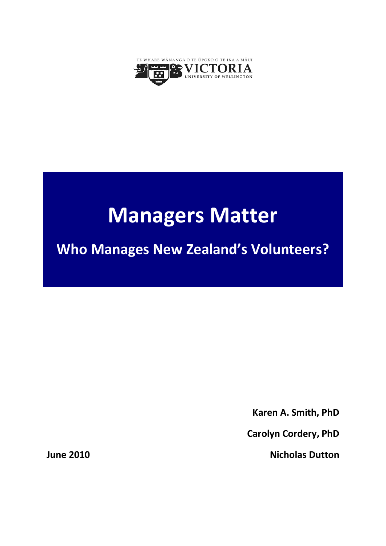

# **Managers Matter**

**Who Manages New Zealand's Volunteers?**

**Karen A. Smith, PhD**

**Carolyn Cordery, PhD**

**Nicholas Dutton**

**June 2010**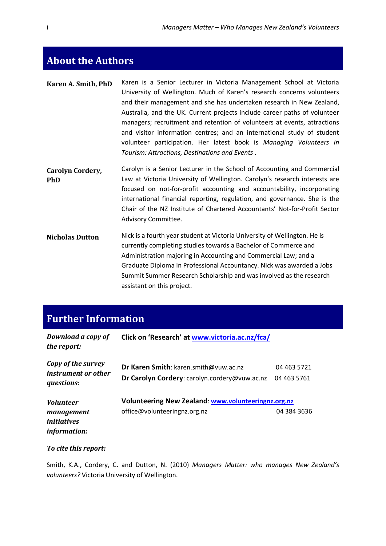# <span id="page-1-0"></span>**About the Authors**

| Karen A. Smith, PhD | Karen is a Senior Lecturer in Victoria Management School at Victoria      |
|---------------------|---------------------------------------------------------------------------|
|                     | University of Wellington. Much of Karen's research concerns volunteers    |
|                     | and their management and she has undertaken research in New Zealand,      |
|                     | Australia, and the UK. Current projects include career paths of volunteer |
|                     | managers; recruitment and retention of volunteers at events, attractions  |
|                     | and visitor information centres; and an international study of student    |
|                     | volunteer participation. Her latest book is Managing Volunteers in        |
|                     | Tourism: Attractions, Destinations and Events.                            |

- **Carolyn Cordery, PhD** Carolyn is a Senior Lecturer in the School of Accounting and Commercial Law at Victoria University of Wellington. Carolyn's research interests are focused on not-for-profit accounting and accountability, incorporating international financial reporting, regulation, and governance. She is the Chair of the NZ Institute of Chartered Accountants' Not-for-Profit Sector Advisory Committee.
- **Nicholas Dutton** Nick is a fourth year student at Victoria University of Wellington. He is currently completing studies towards a Bachelor of Commerce and Administration majoring in Accounting and Commercial Law; and a Graduate Diploma in Professional Accountancy. Nick was awarded a Jobs Summit Summer Research Scholarship and was involved as the research assistant on this project.

# <span id="page-1-1"></span>**Further Information**

| Download a copy of<br>the report:                       | Click on 'Research' at www.victoria.ac.nz/fca/                                         |                            |
|---------------------------------------------------------|----------------------------------------------------------------------------------------|----------------------------|
| Copy of the survey<br>instrument or other<br>questions: | Dr Karen Smith: karen.smith@vuw.ac.nz<br>Dr Carolyn Cordery: carolyn.cordery@vuw.ac.nz | 04 463 5721<br>04 463 5761 |
| <b>Volunteer</b><br>management<br><i>initiatives</i>    | Volunteering New Zealand: www.volunteeringnz.org.nz<br>office@volunteeringnz.org.nz    | 04 384 3636                |
| <i>information:</i>                                     |                                                                                        |                            |

### *To cite this report:*

Smith, K.A., Cordery, C. and Dutton, N. (2010) *Managers Matter: who manages New Zealand's volunteers?* Victoria University of Wellington.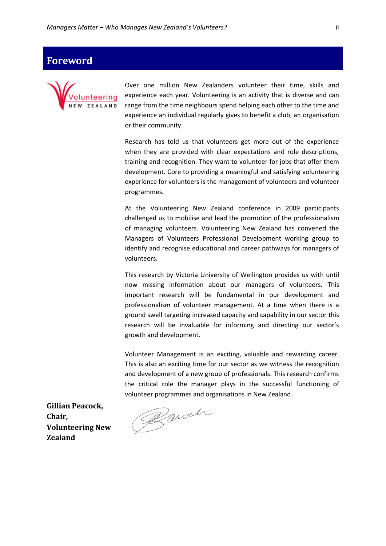# <span id="page-2-0"></span>**Foreword**



Over one million New Zealanders volunteer their time, skills and experience each year. Volunteering is an activity that is diverse and can range from the time neighbours spend helping each other to the time and experience an individual regularly gives to benefit a club, an organisation or their community.

Research has told us that volunteers get more out of the experience when they are provided with clear expectations and role descriptions, training and recognition. They want to volunteer for jobs that offer them development. Core to providing a meaningful and satisfying volunteering experience for volunteers is the management of volunteers and volunteer programmes.

At the Volunteering New Zealand conference in 2009 participants challenged us to mobilise and lead the promotion of the professionalism of managing volunteers. Volunteering New Zealand has convened the Managers of Volunteers Professional Development working group to identify and recognise educational and career pathways for managers of volunteers.

This research by Victoria University of Wellington provides us with until now missing information about our managers of volunteers. This important research will be fundamental in our development and professionalism of volunteer management. At a time when there is a ground swell targeting increased capacity and capability in our sector this research will be invaluable for informing and directing our sector's growth and development.

Volunteer Management is an exciting, valuable and rewarding career. This is also an exciting time for our sector as we witness the recognition and development of a new group of professionals. This research confirms the critical role the manager plays in the successful functioning of

**Gillian Peacock, Chair, Volunteering New Zealand**

volunteer programmes and organisations in New Zealand.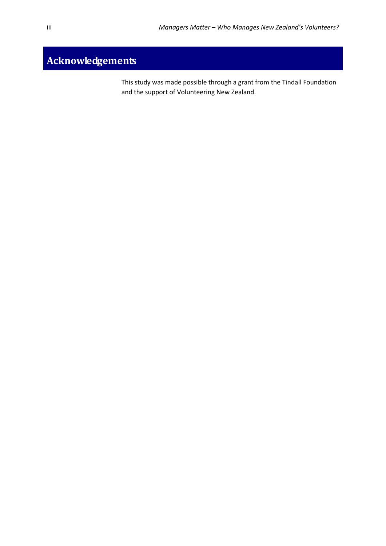# <span id="page-3-0"></span>**Acknowledgements**

This study was made possible through a grant from the Tindall Foundation and the support of Volunteering New Zealand.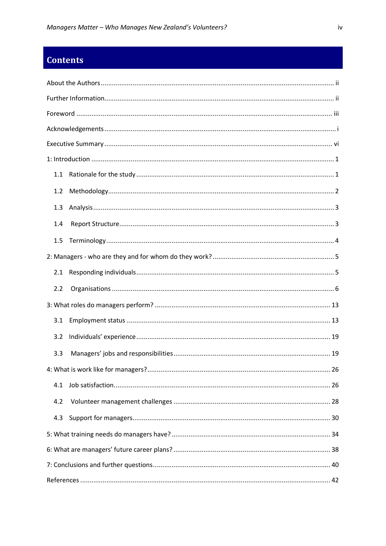# **Contents**

| 1.1 |  |
|-----|--|
| 1.2 |  |
| 1.3 |  |
| 1.4 |  |
| 1.5 |  |
|     |  |
| 2.1 |  |
| 2.2 |  |
|     |  |
| 3.1 |  |
| 3.2 |  |
| 3.3 |  |
|     |  |
|     |  |
| 4.2 |  |
| 4.3 |  |
|     |  |
|     |  |
|     |  |
|     |  |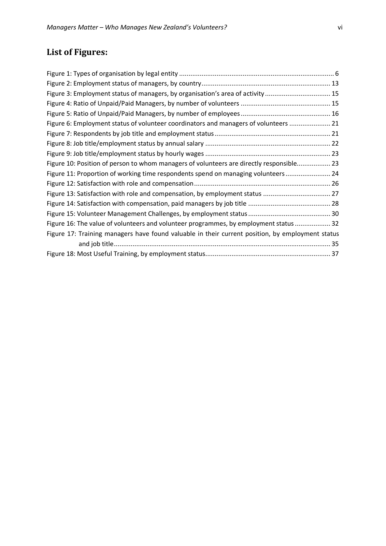# **List of Figures:**

| Figure 3: Employment status of managers, by organisation's area of activity  15                  |  |
|--------------------------------------------------------------------------------------------------|--|
|                                                                                                  |  |
|                                                                                                  |  |
| Figure 6: Employment status of volunteer coordinators and managers of volunteers  21             |  |
|                                                                                                  |  |
|                                                                                                  |  |
|                                                                                                  |  |
| Figure 10: Position of person to whom managers of volunteers are directly responsible 23         |  |
| Figure 11: Proportion of working time respondents spend on managing volunteers 24                |  |
|                                                                                                  |  |
| Figure 13: Satisfaction with role and compensation, by employment status  27                     |  |
|                                                                                                  |  |
|                                                                                                  |  |
| Figure 16: The value of volunteers and volunteer programmes, by employment status  32            |  |
| Figure 17: Training managers have found valuable in their current position, by employment status |  |
|                                                                                                  |  |
|                                                                                                  |  |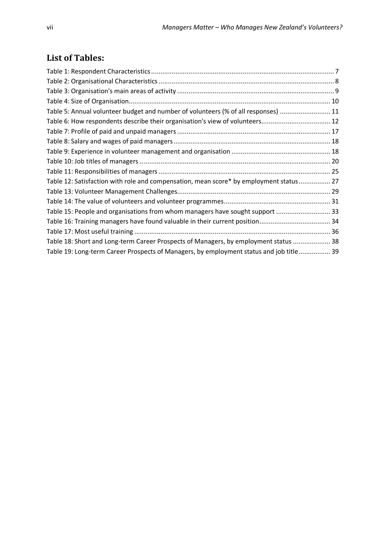# **List of Tables:**

| Table 5: Annual volunteer budget and number of volunteers (% of all responses)  11      |  |
|-----------------------------------------------------------------------------------------|--|
|                                                                                         |  |
|                                                                                         |  |
|                                                                                         |  |
|                                                                                         |  |
|                                                                                         |  |
|                                                                                         |  |
| Table 12: Satisfaction with role and compensation, mean score* by employment status 27  |  |
|                                                                                         |  |
|                                                                                         |  |
| Table 15: People and organisations from whom managers have sought support  33           |  |
| Table 16: Training managers have found valuable in their current position 34            |  |
|                                                                                         |  |
| Table 18: Short and Long-term Career Prospects of Managers, by employment status  38    |  |
| Table 19: Long-term Career Prospects of Managers, by employment status and job title 39 |  |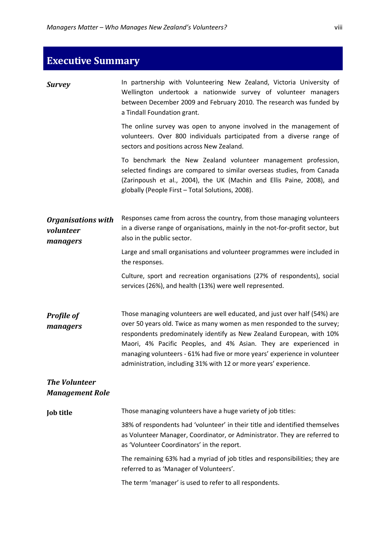<span id="page-8-0"></span>

| <b>Executive Summary</b>                           |                                                                                                                                                                                                                                                                                                                                                                                                                                                  |
|----------------------------------------------------|--------------------------------------------------------------------------------------------------------------------------------------------------------------------------------------------------------------------------------------------------------------------------------------------------------------------------------------------------------------------------------------------------------------------------------------------------|
| <b>Survey</b>                                      | In partnership with Volunteering New Zealand, Victoria University of<br>Wellington undertook a nationwide survey of volunteer managers<br>between December 2009 and February 2010. The research was funded by<br>a Tindall Foundation grant.                                                                                                                                                                                                     |
|                                                    | The online survey was open to anyone involved in the management of<br>volunteers. Over 800 individuals participated from a diverse range of<br>sectors and positions across New Zealand.                                                                                                                                                                                                                                                         |
|                                                    | To benchmark the New Zealand volunteer management profession,<br>selected findings are compared to similar overseas studies, from Canada<br>(Zarinpoush et al., 2004), the UK (Machin and Ellis Paine, 2008), and<br>globally (People First - Total Solutions, 2008).                                                                                                                                                                            |
| <b>Organisations with</b><br>volunteer<br>managers | Responses came from across the country, from those managing volunteers<br>in a diverse range of organisations, mainly in the not-for-profit sector, but<br>also in the public sector.                                                                                                                                                                                                                                                            |
|                                                    | Large and small organisations and volunteer programmes were included in<br>the responses.                                                                                                                                                                                                                                                                                                                                                        |
|                                                    | Culture, sport and recreation organisations (27% of respondents), social<br>services (26%), and health (13%) were well represented.                                                                                                                                                                                                                                                                                                              |
| <b>Profile of</b><br>managers                      | Those managing volunteers are well educated, and just over half (54%) are<br>over 50 years old. Twice as many women as men responded to the survey;<br>respondents predominately identify as New Zealand European, with 10%<br>Maori, 4% Pacific Peoples, and 4% Asian. They are experienced in<br>managing volunteers - 61% had five or more years' experience in volunteer<br>administration, including 31% with 12 or more years' experience. |
| <b>The Volunteer</b><br><b>Management Role</b>     |                                                                                                                                                                                                                                                                                                                                                                                                                                                  |
| <b>Job title</b>                                   | Those managing volunteers have a huge variety of job titles:                                                                                                                                                                                                                                                                                                                                                                                     |
|                                                    | 38% of respondents had 'volunteer' in their title and identified themselves<br>as Volunteer Manager, Coordinator, or Administrator. They are referred to<br>as 'Volunteer Coordinators' in the report.                                                                                                                                                                                                                                           |
|                                                    | The remaining 63% had a myriad of job titles and responsibilities; they are<br>referred to as 'Manager of Volunteers'.                                                                                                                                                                                                                                                                                                                           |
|                                                    | The term 'manager' is used to refer to all respondents.                                                                                                                                                                                                                                                                                                                                                                                          |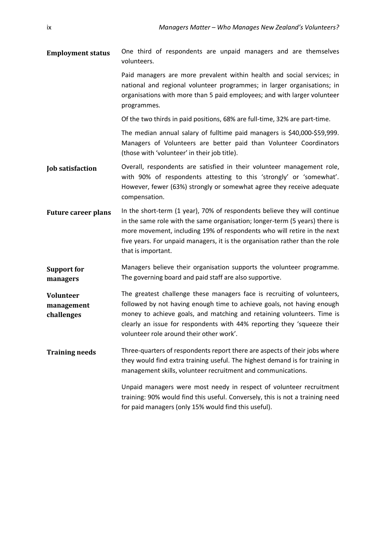**Employment status** One third of respondents are unpaid managers and are themselves volunteers.

> Paid managers are more prevalent within health and social services; in national and regional volunteer programmes; in larger organisations; in organisations with more than 5 paid employees; and with larger volunteer programmes.

Of the two thirds in paid positions, 68% are full-time, 32% are part-time.

The median annual salary of fulltime paid managers is \$40,000-\$59,999. Managers of Volunteers are better paid than Volunteer Coordinators (those with 'volunteer' in their job title).

- **Job satisfaction** Overall, respondents are satisfied in their volunteer management role, with 90% of respondents attesting to this 'strongly' or 'somewhat'. However, fewer (63%) strongly or somewhat agree they receive adequate compensation.
- Future career plans In the short-term (1 year), 70% of respondents believe they will continue in the same role with the same organisation; longer-term (5 years) there is more movement, including 19% of respondents who will retire in the next five years. For unpaid managers, it is the organisation rather than the role that is important.
- **Support for managers** Managers believe their organisation supports the volunteer programme. The governing board and paid staff are also supportive.

**Volunteer management challenges** The greatest challenge these managers face is recruiting of volunteers, followed by not having enough time to achieve goals, not having enough money to achieve goals, and matching and retaining volunteers. Time is clearly an issue for respondents with 44% reporting they 'squeeze their volunteer role around their other work'.

**Training needs** Three-quarters of respondents report there are aspects of their jobs where they would find extra training useful. The highest demand is for training in management skills, volunteer recruitment and communications.

> Unpaid managers were most needy in respect of volunteer recruitment training: 90% would find this useful. Conversely, this is not a training need for paid managers (only 15% would find this useful).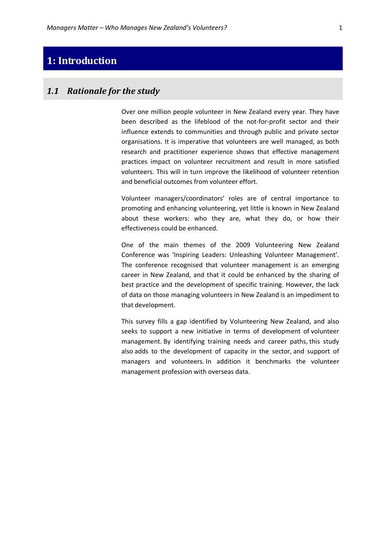# <span id="page-10-0"></span>**1: Introduction**

### <span id="page-10-1"></span>*1.1 Rationale for the study*

Over one million people volunteer in New Zealand every year. They have been described as the lifeblood of the not-for-profit sector and their influence extends to communities and through public and private sector organisations. It is imperative that volunteers are well managed, as both research and practitioner experience shows that effective management practices impact on volunteer recruitment and result in more satisfied volunteers. This will in turn improve the likelihood of volunteer retention and beneficial outcomes from volunteer effort.

Volunteer managers/coordinators' roles are of central importance to promoting and enhancing volunteering, yet little is known in New Zealand about these workers: who they are, what they do, or how their effectiveness could be enhanced.

One of the main themes of the 2009 Volunteering New Zealand Conference was 'Inspiring Leaders: Unleashing Volunteer Management'. The conference recognised that volunteer management is an emerging career in New Zealand, and that it could be enhanced by the sharing of best practice and the development of specific training. However, the lack of data on those managing volunteers in New Zealand is an impediment to that development.

This survey fills a gap identified by Volunteering New Zealand, and also seeks to support a new initiative in terms of development of volunteer management. By identifying training needs and career paths, this study also adds to the development of capacity in the sector, and support of managers and volunteers. In addition it benchmarks the volunteer management profession with overseas data.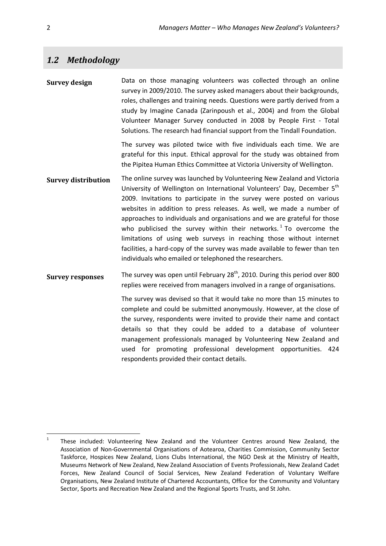# <span id="page-11-0"></span>*1.2 Methodology*

**Survey design** Data on those managing volunteers was collected through an online survey in 2009/2010. The survey asked managers about their backgrounds, roles, challenges and training needs. Questions were partly derived from a study by Imagine Canada (Zarinpoush et al., 2004) and from the Global Volunteer Manager Survey conducted in 2008 by People First - Total Solutions. The research had financial support from the Tindall Foundation.

> The survey was piloted twice with five individuals each time. We are grateful for this input. Ethical approval for the study was obtained from the Pipitea Human Ethics Committee at Victoria University of Wellington.

- **Survey distribution** The online survey was launched by Volunteering New Zealand and Victoria University of Wellington on International Volunteers' Day, December 5th 2009. Invitations to participate in the survey were posted on various websites in addition to press releases. As well, we made a number of approaches to individuals and organisations and we are grateful for those who publicised the survey within their networks.<sup>[1](#page-11-1)</sup> To overcome the limitations of using web surveys in reaching those without internet facilities, a hard-copy of the survey was made available to fewer than ten individuals who emailed or telephoned the researchers.
- **Survey responses** The survey was open until February  $28<sup>th</sup>$ , 2010. During this period over 800 replies were received from managers involved in a range of organisations.

The survey was devised so that it would take no more than 15 minutes to complete and could be submitted anonymously. However, at the close of the survey, respondents were invited to provide their name and contact details so that they could be added to a database of volunteer management professionals managed by Volunteering New Zealand and used for promoting professional development opportunities. 424 respondents provided their contact details.

<span id="page-11-1"></span><sup>&</sup>lt;sup>1</sup> These included: Volunteering New Zealand and the Volunteer Centres around New Zealand, the Association of Non-Governmental Organisations of Aotearoa, Charities Commission, Community Sector Taskforce, Hospices New Zealand, Lions Clubs International, the NGO Desk at the Ministry of Health, Museums Network of New Zealand, New Zealand Association of Events Professionals, New Zealand Cadet Forces, New Zealand Council of Social Services, New Zealand Federation of Voluntary Welfare Organisations, New Zealand Institute of Chartered Accountants, Office for the Community and Voluntary Sector, Sports and Recreation New Zealand and the Regional Sports Trusts, and St John.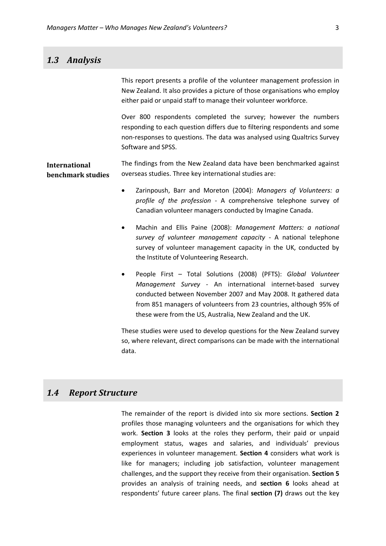# <span id="page-12-0"></span>*1.3 Analysis*

This report presents a profile of the volunteer management profession in New Zealand. It also provides a picture of those organisations who employ either paid or unpaid staff to manage their volunteer workforce. Over 800 respondents completed the survey; however the numbers responding to each question differs due to filtering respondents and some non-responses to questions. The data was analysed using Qualtrics Survey Software and SPSS. **International benchmark studies** The findings from the New Zealand data have been benchmarked against overseas studies. Three key international studies are: • Zarinpoush, Barr and Moreton (2004): *Managers of Volunteers: a profile of the profession* - A comprehensive telephone survey of Canadian volunteer managers conducted by Imagine Canada. • Machin and Ellis Paine (2008): *Management Matters: a national survey of volunteer management capacity* - A national telephone survey of volunteer management capacity in the UK, conducted by the Institute of Volunteering Research. • People First – Total Solutions (2008) (PFTS): *Global Volunteer Management Survey -* An international internet-based survey conducted between November 2007 and May 2008. It gathered data from 851 managers of volunteers from 23 countries, although 95% of these were from the US, Australia, New Zealand and the UK. These studies were used to develop questions for the New Zealand survey so, where relevant, direct comparisons can be made with the international

### <span id="page-12-1"></span>*1.4 Report Structure*

data.

The remainder of the report is divided into six more sections. **Section 2** profiles those managing volunteers and the organisations for which they work. **Section 3** looks at the roles they perform, their paid or unpaid employment status, wages and salaries, and individuals' previous experiences in volunteer management. **Section 4** considers what work is like for managers; including job satisfaction, volunteer management challenges, and the support they receive from their organisation. **Section 5** provides an analysis of training needs, and **section 6** looks ahead at respondents' future career plans. The final **section (7)** draws out the key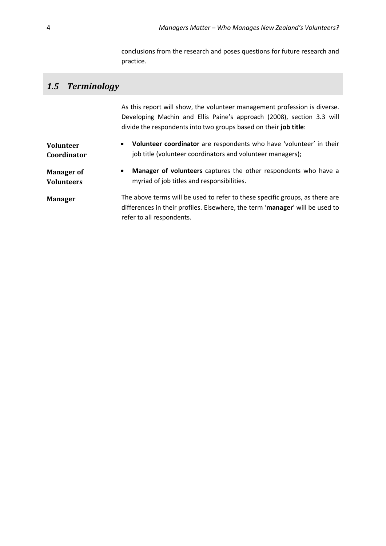conclusions from the research and poses questions for future research and practice.

# <span id="page-13-0"></span>*1.5 Terminology*

As this report will show, the volunteer management profession is diverse. Developing Machin and Ellis Paine's approach (2008), section 3.3 will divide the respondents into two groups based on their **job title**: **Volunteer Coordinator** • **Volunteer coordinator** are respondents who have 'volunteer' in their job title (volunteer coordinators and volunteer managers);

**Manager of Volunteers** • **Manager of volunteers** captures the other respondents who have a myriad of job titles and responsibilities.

**Manager** The above terms will be used to refer to these specific groups, as there are differences in their profiles. Elsewhere, the term '**manager**' will be used to refer to all respondents.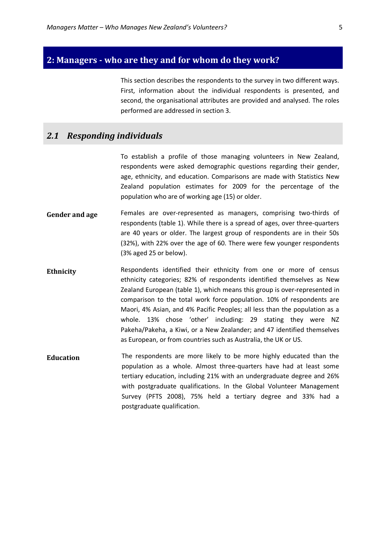### <span id="page-14-0"></span>**2: Managers - who are they and for whom do they work?**

This section describes the respondents to the survey in two different ways. First, information about the individual respondents is presented, and second, the organisational attributes are provided and analysed. The roles performed are addressed in section 3.

### <span id="page-14-1"></span>*2.1 Responding individuals*

To establish a profile of those managing volunteers in New Zealand, respondents were asked demographic questions regarding their gender, age, ethnicity, and education. Comparisons are made with Statistics New Zealand population estimates for 2009 for the percentage of the population who are of working age (15) or older.

- **Gender and age** Females are over-represented as managers, comprising two-thirds of respondents (table 1). While there is a spread of ages, over three-quarters are 40 years or older. The largest group of respondents are in their 50s (32%), with 22% over the age of 60. There were few younger respondents (3% aged 25 or below).
- **Ethnicity** Respondents identified their ethnicity from one or more of census ethnicity categories; 82% of respondents identified themselves as New Zealand European (table 1), which means this group is over-represented in comparison to the total work force population. 10% of respondents are Maori, 4% Asian, and 4% Pacific Peoples; all less than the population as a whole. 13% chose 'other' including: 29 stating they were NZ Pakeha/Pakeha, a Kiwi, or a New Zealander; and 47 identified themselves as European, or from countries such as Australia, the UK or US.
- **Education** The respondents are more likely to be more highly educated than the population as a whole. Almost three-quarters have had at least some tertiary education, including 21% with an undergraduate degree and 26% with postgraduate qualifications. In the Global Volunteer Management Survey (PFTS 2008), 75% held a tertiary degree and 33% had a postgraduate qualification.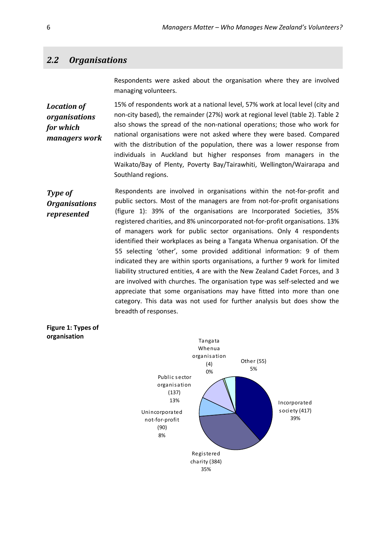### <span id="page-15-0"></span>*2.2 Organisations*

Respondents were asked about the organisation where they are involved managing volunteers.

*Location of organisations for which managers work* 15% of respondents work at a national level, 57% work at local level (city and non-city based), the remainder (27%) work at regional level (table 2). Table 2 also shows the spread of the non-national operations; those who work for national organisations were not asked where they were based. Compared with the distribution of the population, there was a lower response from individuals in Auckland but higher responses from managers in the Waikato/Bay of Plenty, Poverty Bay/Tairawhiti, Wellington/Wairarapa and Southland regions.

*Type of Organisations represented* Respondents are involved in organisations within the not-for-profit and public sectors. Most of the managers are from not-for-profit organisations (figure 1): 39% of the organisations are Incorporated Societies, 35% registered charities, and 8% unincorporated not-for-profit organisations. 13% of managers work for public sector organisations. Only 4 respondents identified their workplaces as being a Tangata Whenua organisation. Of the 55 selecting 'other', some provided additional information: 9 of them indicated they are within sports organisations, a further 9 work for limited liability structured entities, 4 are with the New Zealand Cadet Forces, and 3 are involved with churches. The organisation type was self-selected and we appreciate that some organisations may have fitted into more than one category. This data was not used for further analysis but does show the breadth of responses.

<span id="page-15-1"></span>

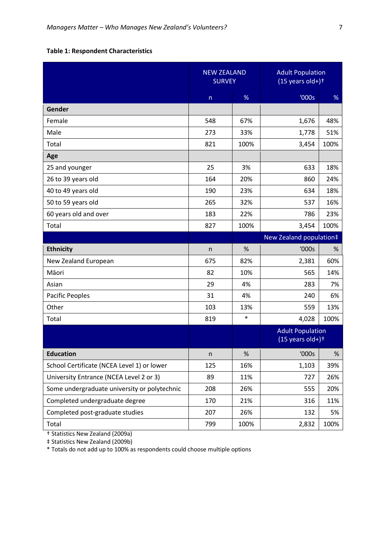# <span id="page-16-0"></span>**Table 1: Respondent Characteristics**

|                                              | <b>NEW ZEALAND</b><br><b>SURVEY</b> |        | <b>Adult Population</b><br>$(15$ years old+) <sup>+</sup> |      |
|----------------------------------------------|-------------------------------------|--------|-----------------------------------------------------------|------|
|                                              | n                                   | %      | '000s                                                     | %    |
| Gender                                       |                                     |        |                                                           |      |
| Female                                       | 548                                 | 67%    | 1,676                                                     | 48%  |
| Male                                         | 273                                 | 33%    | 1,778                                                     | 51%  |
| Total                                        | 821                                 | 100%   | 3,454                                                     | 100% |
| Age                                          |                                     |        |                                                           |      |
| 25 and younger                               | 25                                  | 3%     | 633                                                       | 18%  |
| 26 to 39 years old                           | 164                                 | 20%    | 860                                                       | 24%  |
| 40 to 49 years old                           | 190                                 | 23%    | 634                                                       | 18%  |
| 50 to 59 years old                           | 265                                 | 32%    | 537                                                       | 16%  |
| 60 years old and over                        | 183                                 | 22%    | 786                                                       | 23%  |
| Total                                        | 827                                 | 100%   | 3,454                                                     | 100% |
|                                              |                                     |        | New Zealand population#                                   |      |
| <b>Ethnicity</b>                             | n                                   | %      | '000s                                                     | %    |
| New Zealand European                         | 675                                 | 82%    | 2,381                                                     | 60%  |
| Māori                                        | 82                                  | 10%    | 565                                                       | 14%  |
| Asian                                        | 29                                  | 4%     | 283                                                       | 7%   |
| Pacific Peoples                              | 31                                  | 4%     | 240                                                       | 6%   |
| Other                                        | 103                                 | 13%    | 559                                                       | 13%  |
| Total                                        | 819                                 | $\ast$ | 4,028                                                     | 100% |
|                                              |                                     |        | <b>Adult Population</b><br>$(15$ years old+) <sup>+</sup> |      |
| <b>Education</b>                             | n                                   | $\%$   | '000s                                                     | $\%$ |
| School Certificate (NCEA Level 1) or lower   | 125                                 | 16%    | 1,103                                                     | 39%  |
| University Entrance (NCEA Level 2 or 3)      | 89                                  | 11%    | 727                                                       | 26%  |
| Some undergraduate university or polytechnic | 208                                 | 26%    | 555                                                       | 20%  |
| Completed undergraduate degree               | 170                                 | 21%    | 316                                                       | 11%  |
| Completed post-graduate studies              | 207                                 | 26%    | 132                                                       | 5%   |
| Total                                        | 799                                 | 100%   | 2,832                                                     | 100% |

† Statistics New Zealand (2009a)

‡ Statistics New Zealand (2009b)

\* Totals do not add up to 100% as respondents could choose multiple options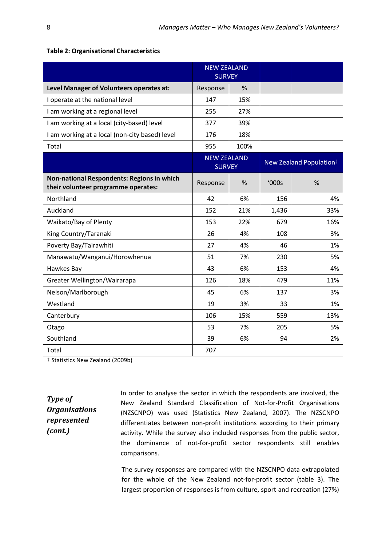|                                                                                   | <b>NEW ZEALAND</b><br><b>SURVEY</b> |      |       |                                     |
|-----------------------------------------------------------------------------------|-------------------------------------|------|-------|-------------------------------------|
| Level Manager of Volunteers operates at:                                          | Response                            | %    |       |                                     |
| I operate at the national level                                                   | 147                                 | 15%  |       |                                     |
| I am working at a regional level                                                  | 255                                 | 27%  |       |                                     |
| I am working at a local (city-based) level                                        | 377                                 | 39%  |       |                                     |
| I am working at a local (non-city based) level                                    | 176                                 | 18%  |       |                                     |
| Total                                                                             | 955                                 | 100% |       |                                     |
|                                                                                   | <b>NEW ZEALAND</b><br><b>SURVEY</b> |      |       | New Zealand Population <sup>+</sup> |
| Non-national Respondents: Regions in which<br>their volunteer programme operates: | Response                            | %    | '000s | %                                   |
| Northland                                                                         | 42                                  | 6%   | 156   | 4%                                  |
| Auckland                                                                          | 152                                 | 21%  | 1,436 | 33%                                 |
| Waikato/Bay of Plenty                                                             | 153                                 | 22%  | 679   | 16%                                 |
| King Country/Taranaki                                                             | 26                                  | 4%   | 108   | 3%                                  |
| Poverty Bay/Tairawhiti                                                            | 27                                  | 4%   | 46    | 1%                                  |
| Manawatu/Wanganui/Horowhenua                                                      | 51                                  | 7%   | 230   | 5%                                  |
| Hawkes Bay                                                                        | 43                                  | 6%   | 153   | 4%                                  |
| Greater Wellington/Wairarapa                                                      | 126                                 | 18%  | 479   | 11%                                 |
| Nelson/Marlborough                                                                | 45                                  | 6%   | 137   | 3%                                  |
| Westland                                                                          | 19                                  | 3%   | 33    | 1%                                  |
| Canterbury                                                                        | 106                                 | 15%  | 559   | 13%                                 |
| Otago                                                                             | 53                                  | 7%   | 205   | 5%                                  |
| Southland                                                                         | 39                                  | 6%   | 94    | 2%                                  |
| Total                                                                             | 707                                 |      |       |                                     |

#### <span id="page-17-0"></span>**Table 2: Organisational Characteristics**

† Statistics New Zealand (2009b)

*Type of Organisations represented (cont.)*

In order to analyse the sector in which the respondents are involved, the New Zealand Standard Classification of Not-for-Profit Organisations (NZSCNPO) was used (Statistics New Zealand, 2007). The NZSCNPO differentiates between non-profit institutions according to their primary activity. While the survey also included responses from the public sector, the dominance of not-for-profit sector respondents still enables comparisons.

The survey responses are compared with the NZSCNPO data extrapolated for the whole of the New Zealand not-for-profit sector (table 3). The largest proportion of responses is from culture, sport and recreation (27%)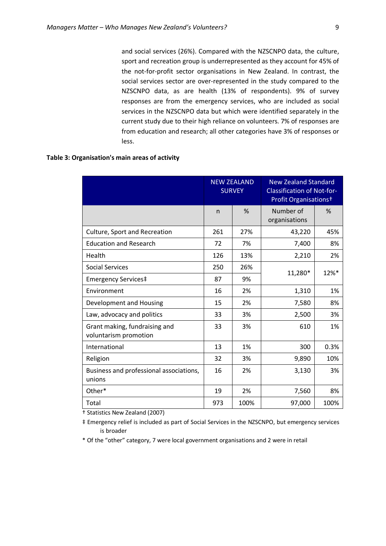and social services (26%). Compared with the NZSCNPO data, the culture, sport and recreation group is underrepresented as they account for 45% of the not-for-profit sector organisations in New Zealand. In contrast, the social services sector are over-represented in the study compared to the NZSCNPO data, as are health (13% of respondents). 9% of survey responses are from the emergency services, who are included as social services in the NZSCNPO data but which were identified separately in the current study due to their high reliance on volunteers. 7% of responses are from education and research; all other categories have 3% of responses or less.

### <span id="page-18-0"></span>**Table 3: Organisation's main areas of activity**

|                                                        | <b>NEW ZEALAND</b><br><b>SURVEY</b> |      | <b>New Zealand Standard</b><br><b>Classification of Not-for-</b><br>Profit Organisations <sup>+</sup> |                     |  |
|--------------------------------------------------------|-------------------------------------|------|-------------------------------------------------------------------------------------------------------|---------------------|--|
|                                                        | n                                   | %    | Number of<br>organisations                                                                            | %                   |  |
| Culture, Sport and Recreation                          | 261                                 | 27%  | 43,220                                                                                                | 45%                 |  |
| <b>Education and Research</b>                          | 72                                  | 7%   | 7,400                                                                                                 | 8%                  |  |
| Health                                                 | 126                                 | 13%  | 2,210                                                                                                 | 2%                  |  |
| <b>Social Services</b>                                 | 250                                 | 26%  |                                                                                                       | $12\%$ <sup>*</sup> |  |
| Emergency Services‡                                    | 87                                  | 9%   | 11,280*                                                                                               |                     |  |
| Environment                                            | 16                                  | 2%   | 1,310                                                                                                 | 1%                  |  |
| Development and Housing                                | 15                                  | 2%   | 7,580                                                                                                 | 8%                  |  |
| Law, advocacy and politics                             | 33                                  | 3%   | 2,500                                                                                                 | 3%                  |  |
| Grant making, fundraising and<br>voluntarism promotion | 33                                  | 3%   | 610                                                                                                   | 1%                  |  |
| International                                          | 13                                  | 1%   | 300                                                                                                   | 0.3%                |  |
| Religion                                               | 32                                  | 3%   | 9,890                                                                                                 | 10%                 |  |
| Business and professional associations,<br>unions      | 16                                  | 2%   | 3,130                                                                                                 | 3%                  |  |
| Other*                                                 | 19                                  | 2%   | 7,560                                                                                                 | 8%                  |  |
| Total                                                  | 973                                 | 100% | 97,000                                                                                                | 100%                |  |

† Statistics New Zealand (2007)

‡ Emergency relief is included as part of Social Services in the NZSCNPO, but emergency services is broader

\* Of the "other" category, 7 were local government organisations and 2 were in retail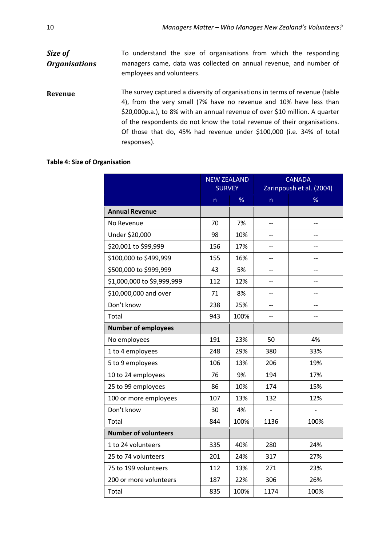| To understand the size of organisations from which the responding                                                                                                                                                                                                                                                                                                                    |
|--------------------------------------------------------------------------------------------------------------------------------------------------------------------------------------------------------------------------------------------------------------------------------------------------------------------------------------------------------------------------------------|
| managers came, data was collected on annual revenue, and number of<br>employees and volunteers.                                                                                                                                                                                                                                                                                      |
| The survey captured a diversity of organisations in terms of revenue (table<br>4), from the very small (7% have no revenue and 10% have less than<br>\$20,000p.a.), to 8% with an annual revenue of over \$10 million. A quarter<br>of the respondents do not know the total revenue of their organisations.<br>Of those that do, 45% had revenue under \$100,000 (i.e. 34% of total |
| responses).                                                                                                                                                                                                                                                                                                                                                                          |
|                                                                                                                                                                                                                                                                                                                                                                                      |

# <span id="page-19-0"></span>**Table 4: Size of Organisation**

|                             | <b>NEW ZEALAND</b> |      | <b>CANADA</b>            |      |  |
|-----------------------------|--------------------|------|--------------------------|------|--|
|                             | <b>SURVEY</b>      |      | Zarinpoush et al. (2004) |      |  |
|                             | $\mathsf{n}$       | %    | n                        | ℅    |  |
| <b>Annual Revenue</b>       |                    |      |                          |      |  |
| No Revenue                  | 70                 | 7%   | $-$                      | $-$  |  |
| Under \$20,000              | 98                 | 10%  | $-$                      |      |  |
| \$20,001 to \$99,999        | 156                | 17%  | $\overline{\phantom{a}}$ | $-$  |  |
| \$100,000 to \$499,999      | 155                | 16%  | $-$                      | $-$  |  |
| \$500,000 to \$999,999      | 43                 | 5%   | $-$                      | $-$  |  |
| \$1,000,000 to \$9,999,999  | 112                | 12%  | --                       | --   |  |
| \$10,000,000 and over       | 71                 | 8%   |                          |      |  |
| Don't know                  | 238                | 25%  | $-$                      | $-$  |  |
| Total                       | 943                | 100% | $-$                      | $-$  |  |
| <b>Number of employees</b>  |                    |      |                          |      |  |
| No employees                | 191                | 23%  | 50                       | 4%   |  |
| 1 to 4 employees            | 248                | 29%  | 380                      | 33%  |  |
| 5 to 9 employees            | 106                | 13%  | 206                      | 19%  |  |
| 10 to 24 employees          | 76                 | 9%   | 194                      | 17%  |  |
| 25 to 99 employees          | 86                 | 10%  | 174                      | 15%  |  |
| 100 or more employees       | 107                | 13%  | 132                      | 12%  |  |
| Don't know                  | 30                 | 4%   |                          |      |  |
| Total                       | 844                | 100% | 1136                     | 100% |  |
| <b>Number of volunteers</b> |                    |      |                          |      |  |
| 1 to 24 volunteers          | 335                | 40%  | 280                      | 24%  |  |
| 25 to 74 volunteers         | 201                | 24%  | 317                      | 27%  |  |
| 75 to 199 volunteers        | 112                | 13%  | 271                      | 23%  |  |
| 200 or more volunteers      | 187                | 22%  | 306                      | 26%  |  |
| Total                       | 835                | 100% | 1174                     | 100% |  |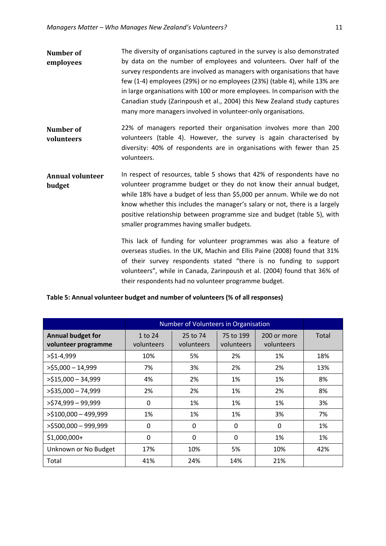- **Number of employees** The diversity of organisations captured in the survey is also demonstrated by data on the number of employees and volunteers. Over half of the survey respondents are involved as managers with organisations that have few (1-4) employees (29%) or no employees (23%) (table 4), while 13% are in large organisations with 100 or more employees. In comparison with the Canadian study (Zarinpoush et al., 2004) this New Zealand study captures many more managers involved in volunteer-only organisations.
- **Number of volunteers** 22% of managers reported their organisation involves more than 200 volunteers (table 4). However, the survey is again characterised by diversity: 40% of respondents are in organisations with fewer than 25 volunteers.
- **Annual volunteer budget** In respect of resources, table 5 shows that 42% of respondents have no volunteer programme budget or they do not know their annual budget, while 18% have a budget of less than \$5,000 per annum. While we do not know whether this includes the manager's salary or not, there is a largely positive relationship between programme size and budget (table 5), with smaller programmes having smaller budgets.

This lack of funding for volunteer programmes was also a feature of overseas studies. In the UK, Machin and Ellis Paine (2008) found that 31% of their survey respondents stated "there is no funding to support volunteers", while in Canada, Zarinpoush et al. (2004) found that 36% of their respondents had no volunteer programme budget.

### <span id="page-20-0"></span>**Table 5: Annual volunteer budget and number of volunteers (% of all responses)**

|                                                 | Number of Volunteers in Organisation |                        |                         |                           |       |
|-------------------------------------------------|--------------------------------------|------------------------|-------------------------|---------------------------|-------|
| <b>Annual budget for</b><br>volunteer programme | 1 to 24<br>volunteers                | 25 to 74<br>volunteers | 75 to 199<br>volunteers | 200 or more<br>volunteers | Total |
| $>$ \$1-4,999                                   | 10%                                  | 5%                     | 2%                      | 1%                        | 18%   |
| $>$ \$5,000 - 14,999                            | 7%                                   | 3%                     | 2%                      | 2%                        | 13%   |
| $>515,000 - 34,999$                             | 4%                                   | 2%                     | 1%                      | 1%                        | 8%    |
| $>$ \$35,000 - 74,999                           | 2%                                   | 2%                     | 1%                      | 2%                        | 8%    |
| $>$ \$74,999 - 99,999                           | $\Omega$                             | 1%                     | 1%                      | 1%                        | 3%    |
| $>$ \$100,000 - 499,999                         | 1%                                   | 1%                     | 1%                      | 3%                        | 7%    |
| >\$500,000 - 999,999                            | $\Omega$                             | $\Omega$               | 0                       | $\Omega$                  | 1%    |
| \$1,000,000+                                    | $\Omega$                             | $\mathbf{0}$           | $\Omega$                | 1%                        | 1%    |
| Unknown or No Budget                            | 17%                                  | 10%                    | 5%                      | 10%                       | 42%   |
| Total                                           | 41%                                  | 24%                    | 14%                     | 21%                       |       |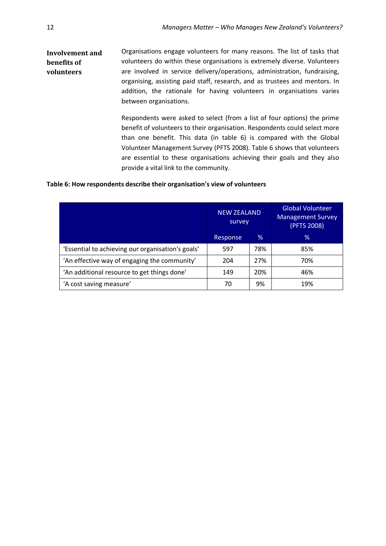#### **Involvement and benefits of volunteers** Organisations engage volunteers for many reasons. The list of tasks that volunteers do within these organisations is extremely diverse. Volunteers are involved in service delivery/operations, administration, fundraising, organising, assisting paid staff, research, and as trustees and mentors. In addition, the rationale for having volunteers in organisations varies between organisations.

Respondents were asked to select (from a list of four options) the prime benefit of volunteers to their organisation. Respondents could select more than one benefit. This data (in table 6) is compared with the Global Volunteer Management Survey (PFTS 2008). Table 6 shows that volunteers are essential to these organisations achieving their goals and they also provide a vital link to the community.

### <span id="page-21-0"></span>**Table 6: How respondents describe their organisation's view of volunteers**

|                                                   | <b>NEW ZEALAND</b><br>survey |     | <b>Global Volunteer</b><br><b>Management Survey</b><br>(PFTS 2008) |  |  |
|---------------------------------------------------|------------------------------|-----|--------------------------------------------------------------------|--|--|
|                                                   | Response                     | %   | $\%$                                                               |  |  |
| 'Essential to achieving our organisation's goals' | 597                          | 78% | 85%                                                                |  |  |
| 'An effective way of engaging the community'      | 204                          | 27% | 70%                                                                |  |  |
| 'An additional resource to get things done'       | 149                          | 20% | 46%                                                                |  |  |
| 'A cost saving measure'                           | 70                           | 9%  | 19%                                                                |  |  |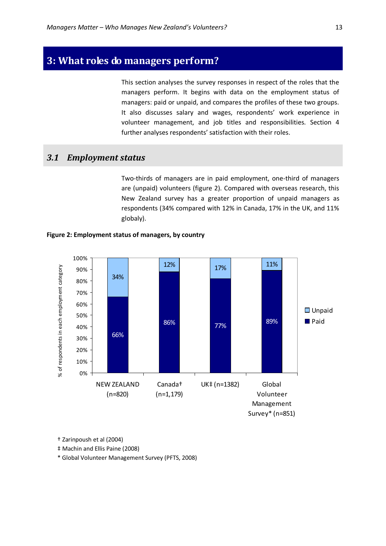# <span id="page-22-0"></span>**3: What roles do managers perform?**

This section analyses the survey responses in respect of the roles that the managers perform. It begins with data on the employment status of managers: paid or unpaid, and compares the profiles of these two groups. It also discusses salary and wages, respondents' work experience in volunteer management, and job titles and responsibilities. Section 4 further analyses respondents' satisfaction with their roles.

### <span id="page-22-1"></span>*3.1 Employment status*

Two-thirds of managers are in paid employment, one-third of managers are (unpaid) volunteers (figure 2). Compared with overseas research, this New Zealand survey has a greater proportion of unpaid managers as respondents (34% compared with 12% in Canada, 17% in the UK, and 11% globaly).



<span id="page-22-2"></span>

† Zarinpoush et al (2004)

‡ Machin and Ellis Paine (2008)

\* Global Volunteer Management Survey (PFTS, 2008)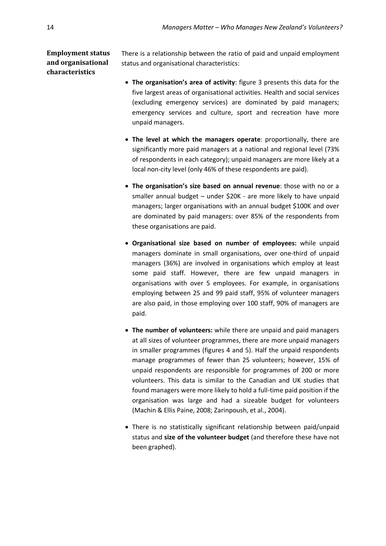# **Employment status and organisational characteristics**

There is a relationship between the ratio of paid and unpaid employment status and organisational characteristics:

- **The organisation's area of activity**: figure 3 presents this data for the five largest areas of organisational activities. Health and social services (excluding emergency services) are dominated by paid managers; emergency services and culture, sport and recreation have more unpaid managers.
- **The level at which the managers operate**: proportionally, there are significantly more paid managers at a national and regional level (73% of respondents in each category); unpaid managers are more likely at a local non-city level (only 46% of these respondents are paid).
- **The organisation's size based on annual revenue**: those with no or a smaller annual budget – under \$20K - are more likely to have unpaid managers; larger organisations with an annual budget \$100K and over are dominated by paid managers: over 85% of the respondents from these organisations are paid.
- **Organisational size based on number of employees:** while unpaid managers dominate in small organisations, over one-third of unpaid managers (36%) are involved in organisations which employ at least some paid staff. However, there are few unpaid managers in organisations with over 5 employees. For example, in organisations employing between 25 and 99 paid staff, 95% of volunteer managers are also paid, in those employing over 100 staff, 90% of managers are paid.
- **The number of volunteers:** while there are unpaid and paid managers at all sizes of volunteer programmes, there are more unpaid managers in smaller programmes (figures 4 and 5). Half the unpaid respondents manage programmes of fewer than 25 volunteers; however, 15% of unpaid respondents are responsible for programmes of 200 or more volunteers. This data is similar to the Canadian and UK studies that found managers were more likely to hold a full-time paid position if the organisation was large and had a sizeable budget for volunteers (Machin & Ellis Paine, 2008; Zarinpoush, et al., 2004).
- There is no statistically significant relationship between paid/unpaid status and **size of the volunteer budget** (and therefore these have not been graphed).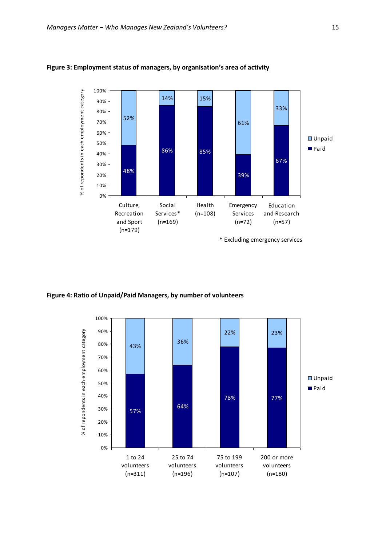

### <span id="page-24-0"></span>**Figure 3: Employment status of managers, by organisation's area of activity**

<span id="page-24-1"></span>**Figure 4: Ratio of Unpaid/Paid Managers, by number of volunteers**

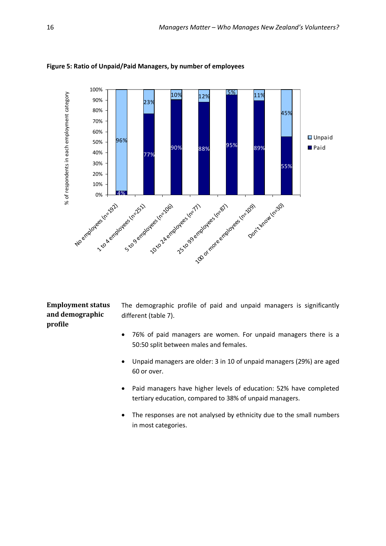

<span id="page-25-0"></span>**Figure 5: Ratio of Unpaid/Paid Managers, by number of employees**

### **Employment status and demographic profile**

The demographic profile of paid and unpaid managers is significantly different (table 7).

- 76% of paid managers are women. For unpaid managers there is a 50:50 split between males and females.
- Unpaid managers are older: 3 in 10 of unpaid managers (29%) are aged 60 or over.
- Paid managers have higher levels of education: 52% have completed tertiary education, compared to 38% of unpaid managers.
- The responses are not analysed by ethnicity due to the small numbers in most categories.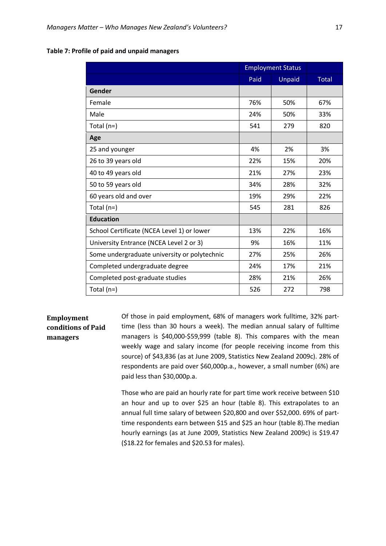|                                              |      | <b>Employment Status</b> |              |  |
|----------------------------------------------|------|--------------------------|--------------|--|
|                                              | Paid | <b>Unpaid</b>            | <b>Total</b> |  |
| Gender                                       |      |                          |              |  |
| Female                                       | 76%  | 50%                      | 67%          |  |
| Male                                         | 24%  | 50%                      | 33%          |  |
| Total $(n=)$                                 | 541  | 279                      | 820          |  |
| Age                                          |      |                          |              |  |
| 25 and younger                               | 4%   | 2%                       | 3%           |  |
| 26 to 39 years old                           | 22%  | 15%                      | 20%          |  |
| 40 to 49 years old                           | 21%  | 27%                      | 23%          |  |
| 50 to 59 years old                           | 34%  | 28%                      | 32%          |  |
| 60 years old and over                        | 19%  | 29%                      | 22%          |  |
| Total $(n=)$                                 | 545  | 281                      | 826          |  |
| <b>Education</b>                             |      |                          |              |  |
| School Certificate (NCEA Level 1) or lower   | 13%  | 22%                      | 16%          |  |
| University Entrance (NCEA Level 2 or 3)      | 9%   | 16%                      | 11%          |  |
| Some undergraduate university or polytechnic | 27%  | 25%                      | 26%          |  |
| Completed undergraduate degree               | 24%  | 17%                      | 21%          |  |
| Completed post-graduate studies              | 28%  | 21%                      | 26%          |  |
| Total $(n=)$                                 | 526  | 272                      | 798          |  |

### <span id="page-26-0"></span>**Table 7: Profile of paid and unpaid managers**

# **Employment conditions of Paid managers**

Of those in paid employment, 68% of managers work fulltime, 32% parttime (less than 30 hours a week). The median annual salary of fulltime managers is \$40,000-\$59,999 (table 8). This compares with the mean weekly wage and salary income (for people receiving income from this source) of \$43,836 (as at June 2009, Statistics New Zealand 2009c). 28% of respondents are paid over \$60,000p.a., however, a small number (6%) are paid less than \$30,000p.a.

Those who are paid an hourly rate for part time work receive between \$10 an hour and up to over \$25 an hour (table 8). This extrapolates to an annual full time salary of between \$20,800 and over \$52,000. 69% of parttime respondents earn between \$15 and \$25 an hour (table 8).The median hourly earnings (as at June 2009, Statistics New Zealand 2009c) is \$19.47 (\$18.22 for females and \$20.53 for males).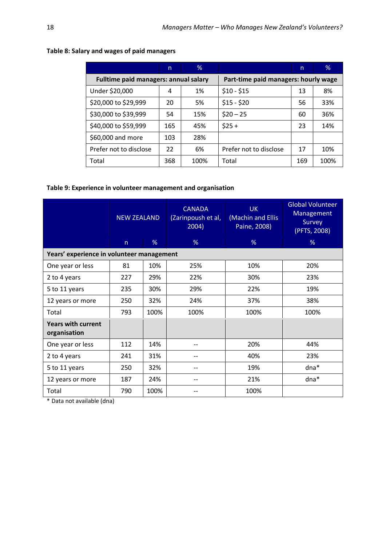|                                              | n   | $\%$ |                                      | n   | $\%$ |  |  |
|----------------------------------------------|-----|------|--------------------------------------|-----|------|--|--|
| <b>Fulltime paid managers: annual salary</b> |     |      | Part-time paid managers: hourly wage |     |      |  |  |
| Under \$20,000                               | 4   | 1%   | $$10 - $15$                          | 13  | 8%   |  |  |
| \$20,000 to \$29,999                         | 20  | 5%   | $$15 - $20$                          | 56  | 33%  |  |  |
| \$30,000 to \$39,999                         | 54  | 15%  | $$20 - 25$                           | 60  | 36%  |  |  |
| \$40,000 to \$59,999                         | 165 | 45%  | $$25 +$                              | 23  | 14%  |  |  |
| \$60,000 and more                            | 103 | 28%  |                                      |     |      |  |  |
| Prefer not to disclose                       | 22  | 6%   | Prefer not to disclose               | 17  | 10%  |  |  |
| Total                                        | 368 | 100% | Total                                | 169 | 100% |  |  |

# <span id="page-27-0"></span>**Table 8: Salary and wages of paid managers**

### <span id="page-27-1"></span>**Table 9: Experience in volunteer management and organisation**

|                                           | <b>NEW ZEALAND</b> |      | <b>CANADA</b><br>(Zarinpoush et al,<br>2004) | <b>UK</b><br>(Machin and Ellis<br>Paine, 2008) | <b>Global Volunteer</b><br>Management<br>Survey<br>(PFTS, 2008) |  |  |
|-------------------------------------------|--------------------|------|----------------------------------------------|------------------------------------------------|-----------------------------------------------------------------|--|--|
|                                           | n                  | %    | %                                            | %                                              | %                                                               |  |  |
| Years' experience in volunteer management |                    |      |                                              |                                                |                                                                 |  |  |
| One year or less                          | 81                 | 10%  | 25%                                          | 10%                                            | 20%                                                             |  |  |
| 2 to 4 years                              | 227                | 29%  | 22%                                          | 30%                                            | 23%                                                             |  |  |
| 5 to 11 years                             | 235                | 30%  | 29%                                          | 22%                                            | 19%                                                             |  |  |
| 12 years or more                          | 250                | 32%  | 24%                                          | 37%                                            | 38%                                                             |  |  |
| Total                                     | 793                | 100% | 100%                                         | 100%                                           | 100%                                                            |  |  |
| <b>Years with current</b><br>organisation |                    |      |                                              |                                                |                                                                 |  |  |
| One year or less                          | 112                | 14%  |                                              | 20%                                            | 44%                                                             |  |  |
| 2 to 4 years                              | 241                | 31%  |                                              | 40%                                            | 23%                                                             |  |  |
| 5 to 11 years                             | 250                | 32%  | --                                           | 19%                                            | dna*                                                            |  |  |
| 12 years or more                          | 187                | 24%  | --                                           | 21%                                            | $dna*$                                                          |  |  |
| Total                                     | 790                | 100% |                                              | 100%                                           |                                                                 |  |  |

\* Data not available (dna)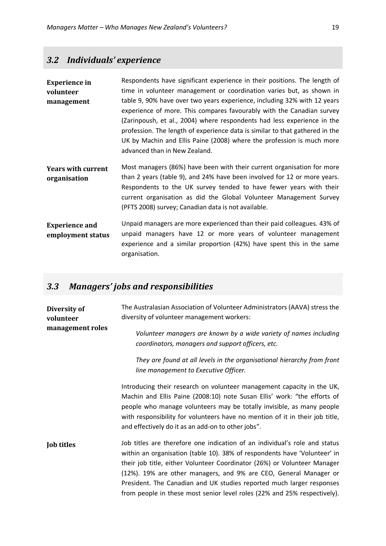# <span id="page-28-0"></span>*3.2 Individuals' experience*

| <b>Experience in</b>      | Respondents have significant experience in their positions. The length of              |
|---------------------------|----------------------------------------------------------------------------------------|
| volunteer                 | time in volunteer management or coordination varies but, as shown in                   |
| management                | table 9, 90% have over two years experience, including 32% with 12 years               |
|                           | experience of more. This compares favourably with the Canadian survey                  |
|                           | (Zarinpoush, et al., 2004) where respondents had less experience in the                |
|                           | profession. The length of experience data is similar to that gathered in the           |
|                           | UK by Machin and Ellis Paine (2008) where the profession is much more                  |
|                           | advanced than in New Zealand.                                                          |
| <b>Years with current</b> | Most managers (86%) have been with their current organisation for more                 |
| organisation              | than 2 years (table 9), and 24% have been involved for 12 or more years.               |
|                           | Respondents to the UK survey tended to have fewer years with their                     |
|                           | current organisation as did the Global Volunteer Management Survey                     |
|                           | (PFTS 2008) survey; Canadian data is not available.                                    |
| <b>Experience and</b>     | Unpaid managers are more experienced than their paid colleagues. 43% of                |
| employment status         | unpaid managers have 12 or more years of volunteer management                          |
|                           | experience and a similar proportion (42%) have spent this in the same<br>organisation. |
|                           |                                                                                        |

# <span id="page-28-1"></span>*3.3 Managers' jobs and responsibilities*

| Diversity of<br>volunteer | The Australasian Association of Volunteer Administrators (AAVA) stress the<br>diversity of volunteer management workers:                                                                                                                                                                                                                                                                                                                                      |
|---------------------------|---------------------------------------------------------------------------------------------------------------------------------------------------------------------------------------------------------------------------------------------------------------------------------------------------------------------------------------------------------------------------------------------------------------------------------------------------------------|
| management roles          | Volunteer managers are known by a wide variety of names including<br>coordinators, managers and support officers, etc.                                                                                                                                                                                                                                                                                                                                        |
|                           | They are found at all levels in the organisational hierarchy from front<br>line management to Executive Officer.                                                                                                                                                                                                                                                                                                                                              |
|                           | Introducing their research on volunteer management capacity in the UK,<br>Machin and Ellis Paine (2008:10) note Susan Ellis' work: "the efforts of<br>people who manage volunteers may be totally invisible, as many people<br>with responsibility for volunteers have no mention of it in their job title,<br>and effectively do it as an add-on to other jobs".                                                                                             |
| <b>Job titles</b>         | Job titles are therefore one indication of an individual's role and status<br>within an organisation (table 10). 38% of respondents have 'Volunteer' in<br>their job title, either Volunteer Coordinator (26%) or Volunteer Manager<br>(12%). 19% are other managers, and 9% are CEO, General Manager or<br>President. The Canadian and UK studies reported much larger responses<br>from people in these most senior level roles (22% and 25% respectively). |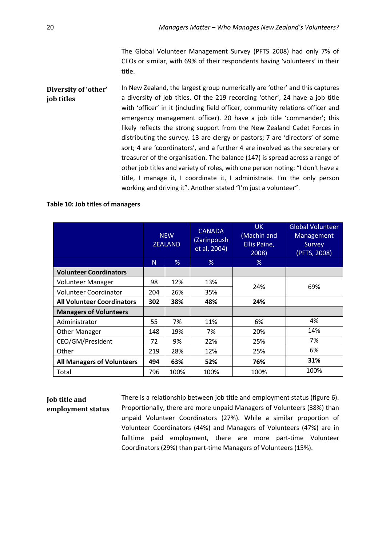The Global Volunteer Management Survey (PFTS 2008) had only 7% of CEOs or similar, with 69% of their respondents having 'volunteers' in their title.

**Diversity of 'other' job titles** In New Zealand, the largest group numerically are 'other' and this captures a diversity of job titles. Of the 219 recording 'other', 24 have a job title with 'officer' in it (including field officer, community relations officer and emergency management officer). 20 have a job title 'commander'; this likely reflects the strong support from the New Zealand Cadet Forces in distributing the survey. 13 are clergy or pastors; 7 are 'directors' of some sort; 4 are 'coordinators', and a further 4 are involved as the secretary or treasurer of the organisation. The balance (147) is spread across a range of other job titles and variety of roles, with one person noting: "I don't have a title, I manage it, I coordinate it, I administrate. I'm the only person working and driving it". Another stated "I'm just a volunteer".

### <span id="page-29-0"></span>**Table 10: Job titles of managers**

|                                   | <b>NEW</b><br><b>ZEALAND</b> |      | <b>CANADA</b><br>(Zarinpoush<br>et al, 2004) | <b>UK</b><br>(Machin and<br>Ellis Paine,<br>2008) | <b>Global Volunteer</b><br>Management<br>Survey<br>(PFTS, 2008) |  |
|-----------------------------------|------------------------------|------|----------------------------------------------|---------------------------------------------------|-----------------------------------------------------------------|--|
|                                   | N.                           | %    | %                                            | %                                                 |                                                                 |  |
| <b>Volunteer Coordinators</b>     |                              |      |                                              |                                                   |                                                                 |  |
| Volunteer Manager                 | 98                           | 12%  | 13%                                          | 24%                                               | 69%                                                             |  |
| Volunteer Coordinator             | 204                          | 26%  | 35%                                          |                                                   |                                                                 |  |
| <b>All Volunteer Coordinators</b> | 302                          | 38%  | 48%                                          | 24%                                               |                                                                 |  |
| <b>Managers of Volunteers</b>     |                              |      |                                              |                                                   |                                                                 |  |
| Administrator                     | 55                           | 7%   | 11%                                          | 6%                                                | 4%                                                              |  |
| <b>Other Manager</b>              | 148                          | 19%  | 7%                                           | 20%                                               | 14%                                                             |  |
| CEO/GM/President                  | 72                           | 9%   | 22%                                          | 25%                                               | 7%                                                              |  |
| Other                             | 219                          | 28%  | 12%                                          | 25%                                               | 6%                                                              |  |
| <b>All Managers of Volunteers</b> | 494                          | 63%  | 52%                                          | 76%                                               | 31%                                                             |  |
| Total                             | 796                          | 100% | 100%                                         | 100%                                              | 100%                                                            |  |

### **Job title and employment status**

There is a relationship between job title and employment status (figure 6). Proportionally, there are more unpaid Managers of Volunteers (38%) than unpaid Volunteer Coordinators (27%). While a similar proportion of Volunteer Coordinators (44%) and Managers of Volunteers (47%) are in fulltime paid employment, there are more part-time Volunteer Coordinators (29%) than part-time Managers of Volunteers (15%).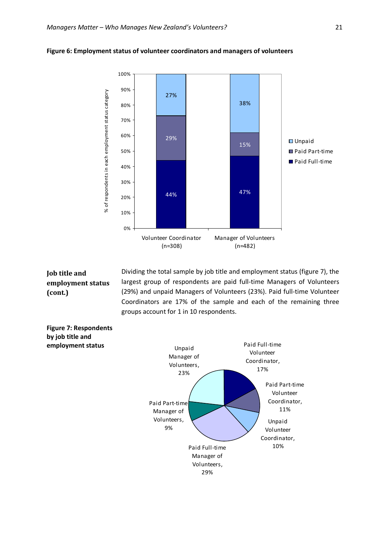

#### <span id="page-30-0"></span>**Figure 6: Employment status of volunteer coordinators and managers of volunteers**

# **Job title and employment status (cont.)**

Dividing the total sample by job title and employment status (figure 7), the largest group of respondents are paid full-time Managers of Volunteers (29%) and unpaid Managers of Volunteers (23%). Paid full-time Volunteer Coordinators are 17% of the sample and each of the remaining three groups account for 1 in 10 respondents.

<span id="page-30-1"></span>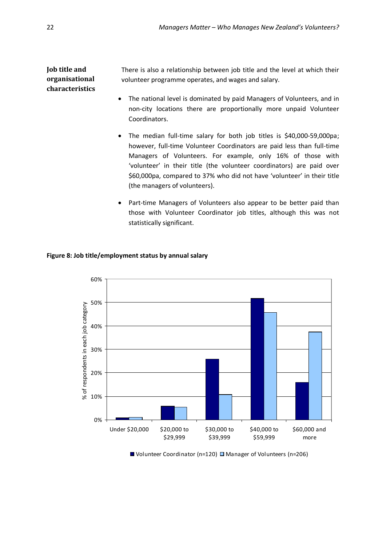**Job title and organisational characteristics** There is also a relationship between job title and the level at which their volunteer programme operates, and wages and salary.

- The national level is dominated by paid Managers of Volunteers, and in non-city locations there are proportionally more unpaid Volunteer Coordinators.
- The median full-time salary for both job titles is \$40,000-59,000pa; however, full-time Volunteer Coordinators are paid less than full-time Managers of Volunteers. For example, only 16% of those with 'volunteer' in their title (the volunteer coordinators) are paid over \$60,000pa, compared to 37% who did not have 'volunteer' in their title (the managers of volunteers).
- Part-time Managers of Volunteers also appear to be better paid than those with Volunteer Coordinator job titles, although this was not statistically significant.

### <span id="page-31-0"></span>**Figure 8: Job title/employment status by annual salary**



 $\blacksquare$  Volunteer Coordinator (n=120)  $\blacksquare$  Manager of Volunteers (n=206)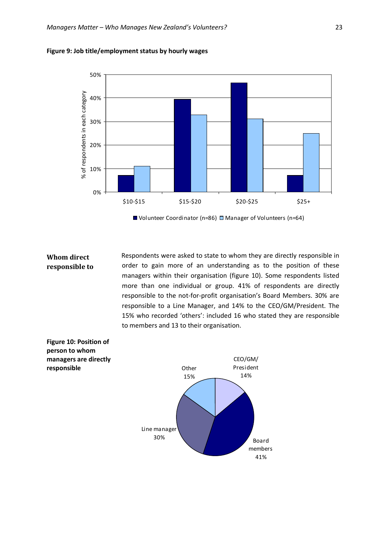

<span id="page-32-0"></span>

 $\blacksquare$  Volunteer Coordinator (n=86)  $\square$  Manager of Volunteers (n=64)

**Whom direct responsible to**  Respondents were asked to state to whom they are directly responsible in order to gain more of an understanding as to the position of these managers within their organisation (figure 10). Some respondents listed more than one individual or group. 41% of respondents are directly responsible to the not-for-profit organisation's Board Members. 30% are responsible to a Line Manager, and 14% to the CEO/GM/President. The 15% who recorded 'others': included 16 who stated they are responsible to members and 13 to their organisation.

<span id="page-32-1"></span>**Figure 10: Position of person to whom managers are directly responsible**

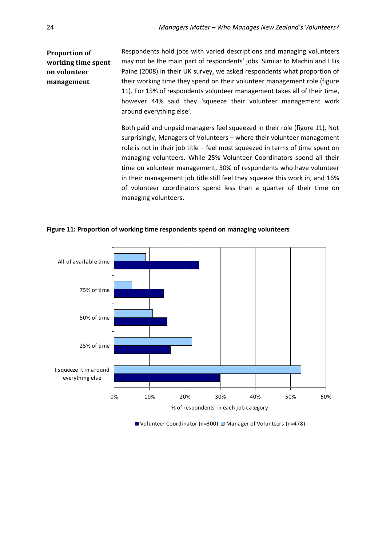#### **Proportion of working time spent on volunteer management**  Respondents hold jobs with varied descriptions and managing volunteers may not be the main part of respondents' jobs. Similar to Machin and Ellis Paine (2008) in their UK survey, we asked respondents what proportion of their working time they spend on their volunteer management role (figure 11). For 15% of respondents volunteer management takes all of their time, however 44% said they 'squeeze their volunteer management work around everything else'.

Both paid and unpaid managers feel squeezed in their role (figure 11). Not surprisingly, Managers of Volunteers – where their volunteer management role is not in their job title – feel most squeezed in terms of time spent on managing volunteers. While 25% Volunteer Coordinators spend all their time on volunteer management, 30% of respondents who have volunteer in their management job title still feel they squeeze this work in, and 16% of volunteer coordinators spend less than a quarter of their time on managing volunteers.



<span id="page-33-0"></span>**Figure 11: Proportion of working time respondents spend on managing volunteers**

■ Volunteer Coordinator (n=300) ■ Manager of Volunteers (n=478)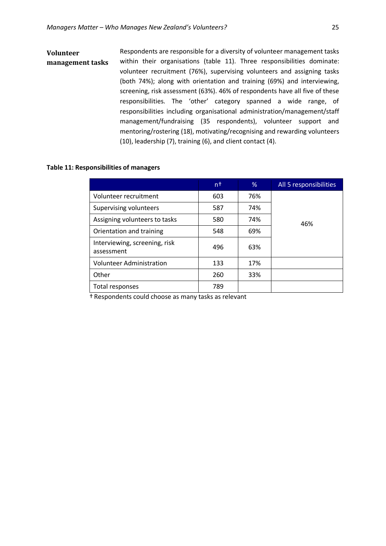### **Volunteer management tasks** Respondents are responsible for a diversity of volunteer management tasks within their organisations (table 11). Three responsibilities dominate: volunteer recruitment (76%), supervising volunteers and assigning tasks (both 74%); along with orientation and training (69%) and interviewing, screening, risk assessment (63%). 46% of respondents have all five of these responsibilities. The 'other' category spanned a wide range, of responsibilities including organisational administration/management/staff management/fundraising (35 respondents), volunteer support and mentoring/rostering (18), motivating/recognising and rewarding volunteers (10), leadership (7), training (6), and client contact (4).

### <span id="page-34-0"></span>**Table 11: Responsibilities of managers**

|                                             | n†  | %   | All 5 responsibilities |
|---------------------------------------------|-----|-----|------------------------|
| Volunteer recruitment                       | 603 | 76% |                        |
| Supervising volunteers                      | 587 | 74% |                        |
| Assigning volunteers to tasks               | 580 | 74% | 46%                    |
| Orientation and training                    | 548 | 69% |                        |
| Interviewing, screening, risk<br>assessment | 496 | 63% |                        |
| <b>Volunteer Administration</b>             | 133 | 17% |                        |
| Other                                       | 260 | 33% |                        |
| Total responses                             | 789 |     |                        |

† Respondents could choose as many tasks as relevant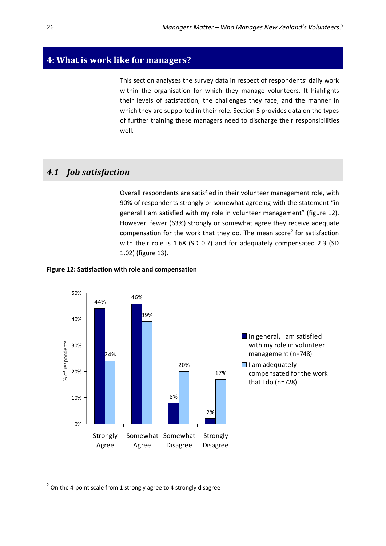# <span id="page-35-0"></span>**4: What is work like for managers?**

This section analyses the survey data in respect of respondents' daily work within the organisation for which they manage volunteers. It highlights their levels of satisfaction, the challenges they face, and the manner in which they are supported in their role. Section 5 provides data on the types of further training these managers need to discharge their responsibilities well.

# <span id="page-35-1"></span>*4.1 Job satisfaction*

Overall respondents are satisfied in their volunteer management role, with 90% of respondents strongly or somewhat agreeing with the statement "in general I am satisfied with my role in volunteer management" (figure 12). However, fewer (63%) strongly or somewhat agree they receive adequate compensation for the work that they do. The mean score<sup>[2](#page-35-3)</sup> for satisfaction with their role is 1.68 (SD 0.7) and for adequately compensated 2.3 (SD 1.02) (figure 13).

### <span id="page-35-2"></span>**Figure 12: Satisfaction with role and compensation**



<span id="page-35-3"></span> $2$  On the 4-point scale from 1 strongly agree to 4 strongly disagree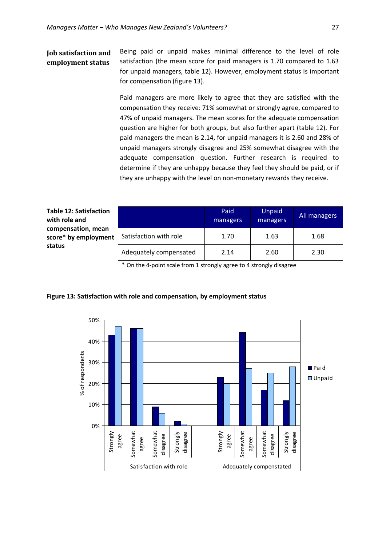### **Job satisfaction and employment status**

Being paid or unpaid makes minimal difference to the level of role satisfaction (the mean score for paid managers is 1.70 compared to 1.63 for unpaid managers, table 12). However, employment status is important for compensation (figure 13).

Paid managers are more likely to agree that they are satisfied with the compensation they receive: 71% somewhat or strongly agree, compared to 47% of unpaid managers. The mean scores for the adequate compensation question are higher for both groups, but also further apart (table 12). For paid managers the mean is 2.14, for unpaid managers it is 2.60 and 28% of unpaid managers strongly disagree and 25% somewhat disagree with the adequate compensation question. Further research is required to determine if they are unhappy because they feel they should be paid, or if they are unhappy with the level on non-monetary rewards they receive.

<span id="page-36-1"></span>**Table 12: Satisfaction with role and compensation, mean score\* by employment status**

|                        | Paid<br>managers | Unpaid<br>managers | All managers |
|------------------------|------------------|--------------------|--------------|
| Satisfaction with role | 1.70             | 1.63               | 1.68         |
| Adequately compensated | 2.14             | 2.60               | 2.30         |

\* On the 4-point scale from 1 strongly agree to 4 strongly disagree



### <span id="page-36-0"></span>**Figure 13: Satisfaction with role and compensation, by employment status**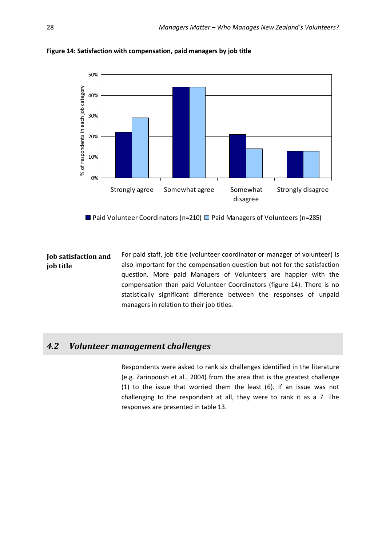

<span id="page-37-1"></span>**Figure 14: Satisfaction with compensation, paid managers by job title**

**Paid Volunteer Coordinators (n=210) Paid Managers of Volunteers (n=285)** 

**Job satisfaction and job title** For paid staff, job title (volunteer coordinator or manager of volunteer) is also important for the compensation question but not for the satisfaction question. More paid Managers of Volunteers are happier with the compensation than paid Volunteer Coordinators (figure 14). There is no statistically significant difference between the responses of unpaid managers in relation to their job titles.

# <span id="page-37-0"></span>*4.2 Volunteer management challenges*

Respondents were asked to rank six challenges identified in the literature (e.g. Zarinpoush et al., 2004) from the area that is the greatest challenge (1) to the issue that worried them the least (6). If an issue was not challenging to the respondent at all, they were to rank it as a 7. The responses are presented in table 13.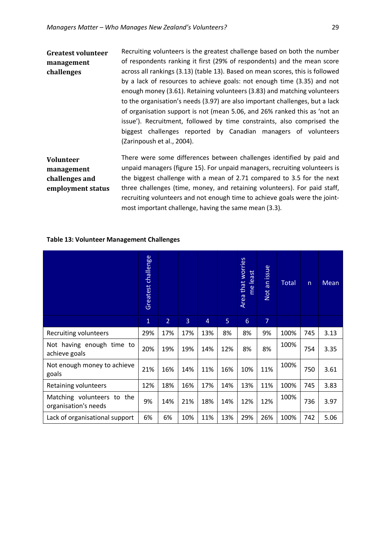**Greatest volunteer management challenges** Recruiting volunteers is the greatest challenge based on both the number of respondents ranking it first (29% of respondents) and the mean score across all rankings (3.13) (table 13). Based on mean scores, this is followed by a lack of resources to achieve goals: not enough time (3.35) and not enough money (3.61). Retaining volunteers (3.83) and matching volunteers to the organisation's needs (3.97) are also important challenges, but a lack of organisation support is not (mean 5.06, and 26% ranked this as 'not an issue'). Recruitment, followed by time constraints, also comprised the biggest challenges reported by Canadian managers of volunteers (Zarinpoush et al., 2004).

**Volunteer management challenges and employment status** There were some differences between challenges identified by paid and unpaid managers (figure 15). For unpaid managers, recruiting volunteers is the biggest challenge with a mean of 2.71 compared to 3.5 for the next three challenges (time, money, and retaining volunteers). For paid staff, recruiting volunteers and not enough time to achieve goals were the jointmost important challenge, having the same mean (3.3).

<span id="page-38-0"></span>

| <b>Table 13: Volunteer Management Challenges</b> |  |
|--------------------------------------------------|--|
|                                                  |  |

|                                                    | Greatest challenge |                |     |                |     | Area that worries<br>me least | an issue<br>Not | <b>Total</b> | n   | Mean |
|----------------------------------------------------|--------------------|----------------|-----|----------------|-----|-------------------------------|-----------------|--------------|-----|------|
|                                                    | $\mathbf{1}$       | $\overline{2}$ | 3   | $\overline{4}$ | 5   | 6                             | $\overline{7}$  |              |     |      |
| Recruiting volunteers                              | 29%                | 17%            | 17% | 13%            | 8%  | 8%                            | 9%              | 100%         | 745 | 3.13 |
| Not having enough time to<br>achieve goals         | 20%                | 19%            | 19% | 14%            | 12% | 8%                            | 8%              | 100%         | 754 | 3.35 |
| Not enough money to achieve<br>goals               | 21%                | 16%            | 14% | 11%            | 16% | 10%                           | 11%             | 100%         | 750 | 3.61 |
| Retaining volunteers                               | 12%                | 18%            | 16% | 17%            | 14% | 13%                           | 11%             | 100%         | 745 | 3.83 |
| Matching volunteers to the<br>organisation's needs | 9%                 | 14%            | 21% | 18%            | 14% | 12%                           | 12%             | 100%         | 736 | 3.97 |
| Lack of organisational support                     | 6%                 | 6%             | 10% | 11%            | 13% | 29%                           | 26%             | 100%         | 742 | 5.06 |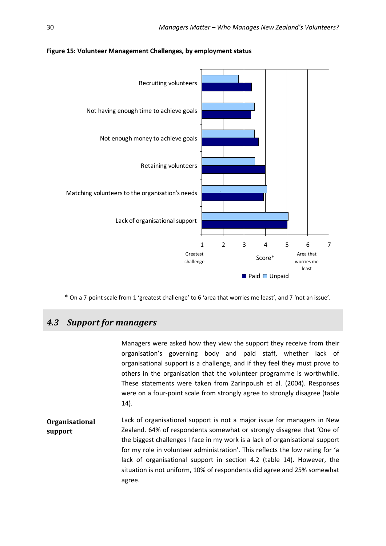

<span id="page-39-1"></span>**Figure 15: Volunteer Management Challenges, by employment status**

\* On a 7-point scale from 1 'greatest challenge' to 6 'area that worries me least', and 7 'not an issue'.

# <span id="page-39-0"></span>*4.3 Support for managers*

Managers were asked how they view the support they receive from their organisation's governing body and paid staff, whether lack of organisational support is a challenge, and if they feel they must prove to others in the organisation that the volunteer programme is worthwhile. These statements were taken from Zarinpoush et al. (2004). Responses were on a four-point scale from strongly agree to strongly disagree (table 14). **Organisational support** Lack of organisational support is not a major issue for managers in New Zealand. 64% of respondents somewhat or strongly disagree that 'One of the biggest challenges I face in my work is a lack of organisational support for my role in volunteer administration'. This reflects the low rating for 'a lack of organisational support in section 4.2 (table 14). However, the situation is not uniform, 10% of respondents did agree and 25% somewhat agree.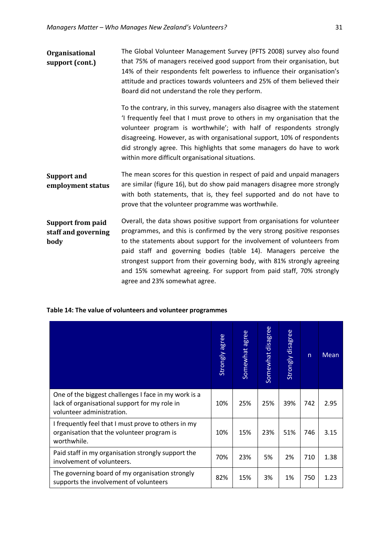| <b>Organisational</b> | The Global Volunteer Management Survey (PFTS 2008) survey also found      |
|-----------------------|---------------------------------------------------------------------------|
| support (cont.)       | that 75% of managers received good support from their organisation, but   |
|                       | 14% of their respondents felt powerless to influence their organisation's |
|                       | attitude and practices towards volunteers and 25% of them believed their  |
|                       | Board did not understand the role they perform.                           |

To the contrary, in this survey, managers also disagree with the statement 'I frequently feel that I must prove to others in my organisation that the volunteer program is worthwhile'; with half of respondents strongly disagreeing. However, as with organisational support, 10% of respondents did strongly agree. This highlights that some managers do have to work within more difficult organisational situations.

**Support and employment status** The mean scores for this question in respect of paid and unpaid managers are similar (figure 16), but do show paid managers disagree more strongly with both statements, that is, they feel supported and do not have to prove that the volunteer programme was worthwhile.

#### **Support from paid staff and governing body** Overall, the data shows positive support from organisations for volunteer programmes, and this is confirmed by the very strong positive responses to the statements about support for the involvement of volunteers from paid staff and governing bodies (table 14). Managers perceive the strongest support from their governing body, with 81% strongly agreeing and 15% somewhat agreeing. For support from paid staff, 70% strongly agree and 23% somewhat agree.

|                                                                                                                                    | Strongly agree | Somewhat agree | Somewhat disagree | Strongly disagree | $\overline{\mathsf{n}}$ | <b>Mean</b> |
|------------------------------------------------------------------------------------------------------------------------------------|----------------|----------------|-------------------|-------------------|-------------------------|-------------|
| One of the biggest challenges I face in my work is a<br>lack of organisational support for my role in<br>volunteer administration. | 10%            | 25%            | 25%               | 39%               | 742                     | 2.95        |
| I frequently feel that I must prove to others in my<br>organisation that the volunteer program is<br>worthwhile.                   | 10%            | 15%            | 23%               | 51%               | 746                     | 3.15        |
| Paid staff in my organisation strongly support the<br>involvement of volunteers.                                                   | 70%            | 23%            | 5%                | 2%                | 710                     | 1.38        |
| The governing board of my organisation strongly<br>supports the involvement of volunteers                                          | 82%            | 15%            | 3%                | 1%                | 750                     | 1.23        |

### <span id="page-40-0"></span>**Table 14: The value of volunteers and volunteer programmes**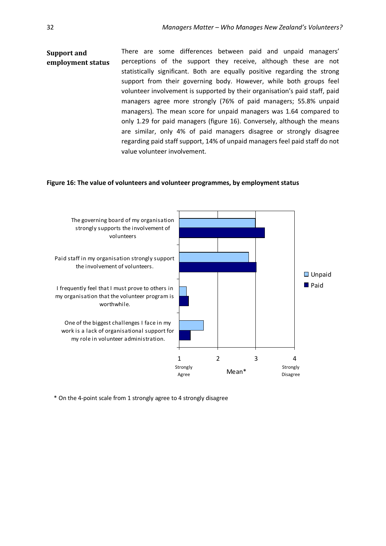### **Support and employment status** There are some differences between paid and unpaid managers' perceptions of the support they receive, although these are not statistically significant. Both are equally positive regarding the strong support from their governing body. However, while both groups feel volunteer involvement is supported by their organisation's paid staff, paid managers agree more strongly (76% of paid managers; 55.8% unpaid managers). The mean score for unpaid managers was 1.64 compared to only 1.29 for paid managers (figure 16). Conversely, although the means are similar, only 4% of paid managers disagree or strongly disagree regarding paid staff support, 14% of unpaid managers feel paid staff do not value volunteer involvement.

#### <span id="page-41-0"></span>**Figure 16: The value of volunteers and volunteer programmes, by employment status**



\* On the 4-point scale from 1 strongly agree to 4 strongly disagree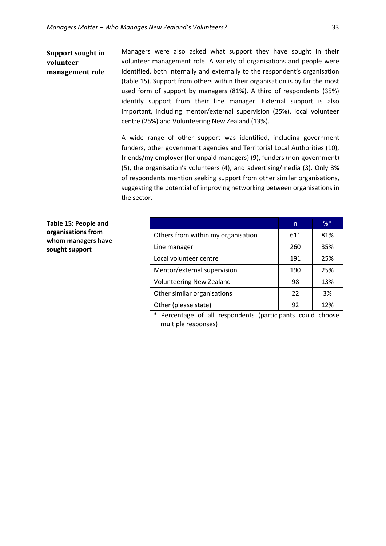### **Support sought in volunteer management role**

Managers were also asked what support they have sought in their volunteer management role. A variety of organisations and people were identified, both internally and externally to the respondent's organisation (table 15). Support from others within their organisation is by far the most used form of support by managers (81%). A third of respondents (35%) identify support from their line manager. External support is also important, including mentor/external supervision (25%), local volunteer centre (25%) and Volunteering New Zealand (13%).

A wide range of other support was identified, including government funders, other government agencies and Territorial Local Authorities (10), friends/my employer (for unpaid managers) (9), funders (non-government) (5), the organisation's volunteers (4), and advertising/media (3). Only 3% of respondents mention seeking support from other similar organisations, suggesting the potential of improving networking between organisations in the sector.

<span id="page-42-0"></span>**Table 15: People and organisations from whom managers have sought support**

|                                    | n   | $%$ * |
|------------------------------------|-----|-------|
| Others from within my organisation | 611 | 81%   |
| Line manager                       | 260 | 35%   |
| Local volunteer centre             | 191 | 25%   |
| Mentor/external supervision        | 190 | 25%   |
| <b>Volunteering New Zealand</b>    | 98  | 13%   |
| Other similar organisations        | 22  | 3%    |
| Other (please state)               | 92  | 12%   |

\* Percentage of all respondents (participants could choose multiple responses)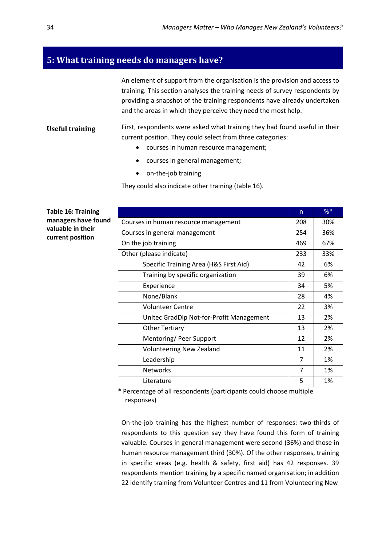# <span id="page-43-0"></span>**5: What training needs do managers have?**

An element of support from the organisation is the provision and access to training. This section analyses the training needs of survey respondents by providing a snapshot of the training respondents have already undertaken and the areas in which they perceive they need the most help.

### **Useful training** First, respondents were asked what training they had found useful in their current position. They could select from three categories:

- courses in human resource management;
- courses in general management;
- on-the-job training

They could also indicate other training (table 16).

<span id="page-43-1"></span>**Table 16: Training managers have found valuable in their current position**

|                                          | n   | $%$ * |
|------------------------------------------|-----|-------|
| Courses in human resource management     | 208 | 30%   |
| Courses in general management            | 254 | 36%   |
| On the job training                      |     | 67%   |
| Other (please indicate)                  | 233 | 33%   |
| Specific Training Area (H&S First Aid)   | 42  | 6%    |
| Training by specific organization        | 39  | 6%    |
| Experience                               | 34  | 5%    |
| None/Blank                               |     | 4%    |
| <b>Volunteer Centre</b>                  |     | 3%    |
| Unitec GradDip Not-for-Profit Management | 13  | 2%    |
| <b>Other Tertiary</b>                    | 13  | 2%    |
| Mentoring/ Peer Support                  | 12  | 2%    |
| <b>Volunteering New Zealand</b>          | 11  | 2%    |
| Leadership                               | 7   | 1%    |
| <b>Networks</b>                          | 7   | 1%    |
| Literature                               |     | 1%    |

\* Percentage of all respondents (participants could choose multiple responses)

On-the-job training has the highest number of responses: two-thirds of respondents to this question say they have found this form of training valuable. Courses in general management were second (36%) and those in human resource management third (30%). Of the other responses, training in specific areas (e.g. health & safety, first aid) has 42 responses. 39 respondents mention training by a specific named organisation; in addition 22 identify training from Volunteer Centres and 11 from Volunteering New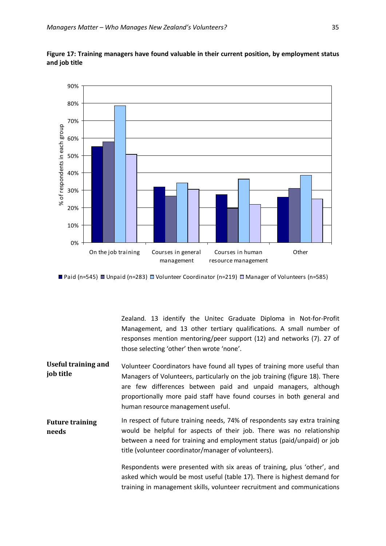

<span id="page-44-0"></span>**Figure 17: Training managers have found valuable in their current position, by employment status and job title**

**Paid (n=545) Unpaid (n=283) U** Volunteer Coordinator (n=219) U Manager of Volunteers (n=585)

Zealand. 13 identify the Unitec Graduate Diploma in Not-for-Profit Management, and 13 other tertiary qualifications. A small number of responses mention mentoring/peer support (12) and networks (7). 27 of those selecting 'other' then wrote 'none'.

- **Useful training and job title** Volunteer Coordinators have found all types of training more useful than Managers of Volunteers, particularly on the job training (figure 18). There are few differences between paid and unpaid managers, although proportionally more paid staff have found courses in both general and human resource management useful.
- **Future training needs** In respect of future training needs, 74% of respondents say extra training would be helpful for aspects of their job. There was no relationship between a need for training and employment status (paid/unpaid) or job title (volunteer coordinator/manager of volunteers).

Respondents were presented with six areas of training, plus 'other', and asked which would be most useful (table 17). There is highest demand for training in management skills, volunteer recruitment and communications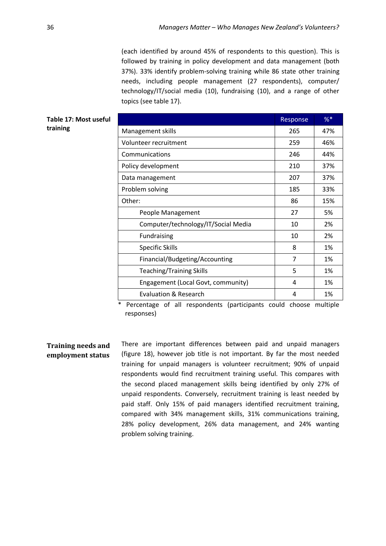(each identified by around 45% of respondents to this question). This is followed by training in policy development and data management (both 37%). 33% identify problem-solving training while 86 state other training needs, including people management (27 respondents), computer/ technology/IT/social media (10), fundraising (10), and a range of other topics (see table 17).

<span id="page-45-0"></span>

| Table 17: Most useful |                                     | Response      | $%$ * |
|-----------------------|-------------------------------------|---------------|-------|
| training              | Management skills                   | 265           | 47%   |
|                       | Volunteer recruitment               | 259           | 46%   |
|                       | Communications                      | 246           | 44%   |
|                       | Policy development                  | 210           | 37%   |
|                       | Data management                     | 207           | 37%   |
|                       | Problem solving                     | 185           | 33%   |
|                       | Other:                              | 86            | 15%   |
|                       | People Management                   | 27            | 5%    |
|                       | Computer/technology/IT/Social Media | 10            | 2%    |
|                       | Fundraising                         | 10            | 2%    |
|                       | <b>Specific Skills</b>              | 8             | 1%    |
|                       | Financial/Budgeting/Accounting      | 7             | 1%    |
|                       | <b>Teaching/Training Skills</b>     | 5             | 1%    |
|                       | Engagement (Local Govt, community)  | 4             | 1%    |
|                       | <b>Evaluation &amp; Research</b>    | 4             | 1%    |
|                       |                                     | $\sim$ $\sim$ |       |

\* Percentage of all respondents (participants could choose multiple responses)

**Training needs and employment status**

There are important differences between paid and unpaid managers (figure 18), however job title is not important. By far the most needed training for unpaid managers is volunteer recruitment; 90% of unpaid respondents would find recruitment training useful. This compares with the second placed management skills being identified by only 27% of unpaid respondents. Conversely, recruitment training is least needed by paid staff. Only 15% of paid managers identified recruitment training, compared with 34% management skills, 31% communications training, 28% policy development, 26% data management, and 24% wanting problem solving training.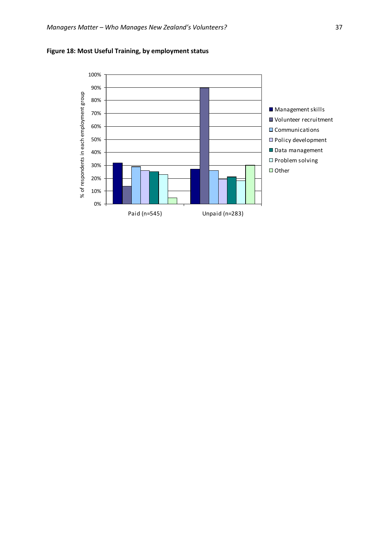

<span id="page-46-0"></span>**Figure 18: Most Useful Training, by employment status**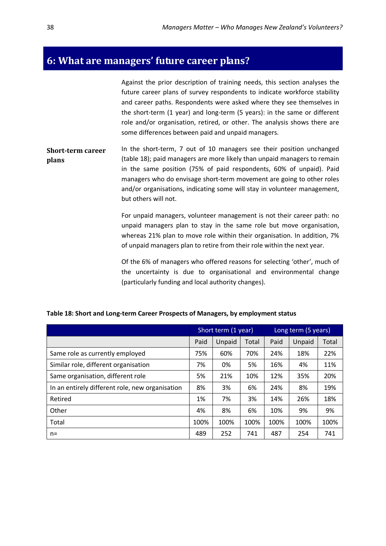# <span id="page-47-0"></span>**6: What are managers' future career plans?**

Against the prior description of training needs, this section analyses the future career plans of survey respondents to indicate workforce stability and career paths. Respondents were asked where they see themselves in the short-term (1 year) and long-term (5 years): in the same or different role and/or organisation, retired, or other. The analysis shows there are some differences between paid and unpaid managers.

**Short-term career plans** In the short-term, 7 out of 10 managers see their position unchanged (table 18); paid managers are more likely than unpaid managers to remain in the same position (75% of paid respondents, 60% of unpaid). Paid managers who do envisage short-term movement are going to other roles and/or organisations, indicating some will stay in volunteer management, but others will not.

> For unpaid managers, volunteer management is not their career path: no unpaid managers plan to stay in the same role but move organisation, whereas 21% plan to move role within their organisation. In addition, 7% of unpaid managers plan to retire from their role within the next year.

> Of the 6% of managers who offered reasons for selecting 'other', much of the uncertainty is due to organisational and environmental change (particularly funding and local authority changes).

|                                                 | Short term (1 year) |        |       | Long term (5 years) |        |       |  |
|-------------------------------------------------|---------------------|--------|-------|---------------------|--------|-------|--|
|                                                 | Paid                | Unpaid | Total | Paid                | Unpaid | Total |  |
| Same role as currently employed                 | 75%                 | 60%    | 70%   | 24%                 | 18%    | 22%   |  |
| Similar role, different organisation            | 7%                  | 0%     | 5%    | 16%                 | 4%     | 11%   |  |
| Same organisation, different role               | 5%                  | 21%    | 10%   | 12%                 | 35%    | 20%   |  |
| In an entirely different role, new organisation | 8%                  | 3%     | 6%    | 24%                 | 8%     | 19%   |  |
| Retired                                         | 1%                  | 7%     | 3%    | 14%                 | 26%    | 18%   |  |
| Other                                           | 4%                  | 8%     | 6%    | 10%                 | 9%     | 9%    |  |
| Total                                           | 100%                | 100%   | 100%  | 100%                | 100%   | 100%  |  |
| $n=$                                            | 489                 | 252    | 741   | 487                 | 254    | 741   |  |

### <span id="page-47-1"></span>**Table 18: Short and Long-term Career Prospects of Managers, by employment status**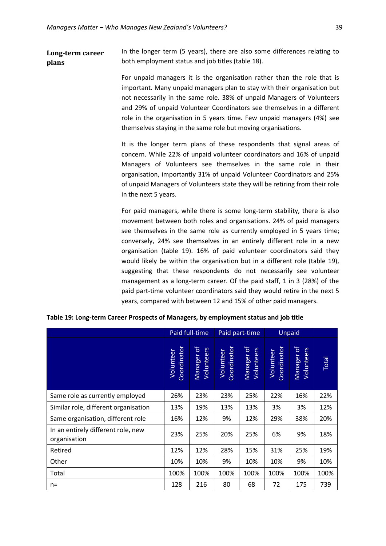**Long-term career plans** In the longer term (5 years), there are also some differences relating to both employment status and job titles (table 18).

> For unpaid managers it is the organisation rather than the role that is important. Many unpaid managers plan to stay with their organisation but not necessarily in the same role. 38% of unpaid Managers of Volunteers and 29% of unpaid Volunteer Coordinators see themselves in a different role in the organisation in 5 years time. Few unpaid managers (4%) see themselves staying in the same role but moving organisations.

> It is the longer term plans of these respondents that signal areas of concern. While 22% of unpaid volunteer coordinators and 16% of unpaid Managers of Volunteers see themselves in the same role in their organisation, importantly 31% of unpaid Volunteer Coordinators and 25% of unpaid Managers of Volunteers state they will be retiring from their role in the next 5 years.

> For paid managers, while there is some long-term stability, there is also movement between both roles and organisations. 24% of paid managers see themselves in the same role as currently employed in 5 years time; conversely, 24% see themselves in an entirely different role in a new organisation (table 19). 16% of paid volunteer coordinators said they would likely be within the organisation but in a different role (table 19), suggesting that these respondents do not necessarily see volunteer management as a long-term career. Of the paid staff, 1 in 3 (28%) of the paid part-time volunteer coordinators said they would retire in the next 5 years, compared with between 12 and 15% of other paid managers.

|                                                    |                          | Paid full-time                         | Paid part-time           |                                        | Unpaid                   |                          |       |
|----------------------------------------------------|--------------------------|----------------------------------------|--------------------------|----------------------------------------|--------------------------|--------------------------|-------|
|                                                    | Coordinator<br>Volunteer | $\mathcal{P}$<br>Volunteers<br>Manager | Coordinator<br>Volunteer | $\mathcal{P}$<br>Volunteers<br>Manager | Coordinator<br>Volunteer | Manager of<br>Volunteers | Total |
| Same role as currently employed                    | 26%                      | 23%                                    | 23%                      | 25%                                    | 22%                      | 16%                      | 22%   |
| Similar role, different organisation               | 13%                      | 19%                                    | 13%                      | 13%                                    | 3%                       | 3%                       | 12%   |
| Same organisation, different role                  | 16%                      | 12%                                    | 9%                       | 12%                                    | 29%                      | 38%                      | 20%   |
| In an entirely different role, new<br>organisation | 23%                      | 25%                                    | 20%                      | 25%                                    | 6%                       | 9%                       | 18%   |
| Retired                                            | 12%                      | 12%                                    | 28%                      | 15%                                    | 31%                      | 25%                      | 19%   |
| Other                                              | 10%                      | 10%                                    | 9%                       | 10%                                    | 10%                      | 9%                       | 10%   |
| Total                                              | 100%                     | 100%                                   | 100%                     | 100%                                   | 100%                     | 100%                     | 100%  |
| $n=$                                               | 128                      | 216                                    | 80                       | 68                                     | 72                       | 175                      | 739   |

<span id="page-48-0"></span>**Table 19: Long-term Career Prospects of Managers, by employment status and job title**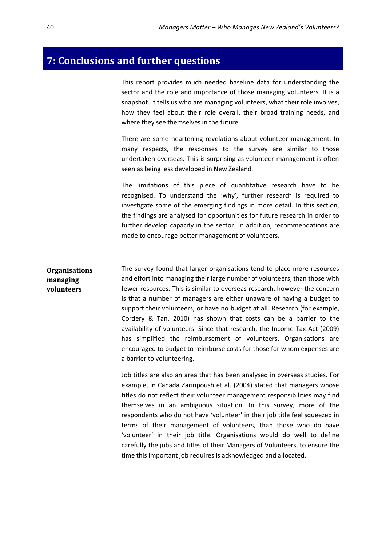# <span id="page-49-0"></span>**7: Conclusions and further questions**

This report provides much needed baseline data for understanding the sector and the role and importance of those managing volunteers. It is a snapshot. It tells us who are managing volunteers, what their role involves, how they feel about their role overall, their broad training needs, and where they see themselves in the future.

There are some heartening revelations about volunteer management. In many respects, the responses to the survey are similar to those undertaken overseas. This is surprising as volunteer management is often seen as being less developed in New Zealand.

The limitations of this piece of quantitative research have to be recognised. To understand the 'why', further research is required to investigate some of the emerging findings in more detail. In this section, the findings are analysed for opportunities for future research in order to further develop capacity in the sector. In addition, recommendations are made to encourage better management of volunteers.

**Organisations managing volunteers** The survey found that larger organisations tend to place more resources and effort into managing their large number of volunteers, than those with fewer resources. This is similar to overseas research, however the concern is that a number of managers are either unaware of having a budget to support their volunteers, or have no budget at all. Research (for example, Cordery & Tan, 2010) has shown that costs can be a barrier to the availability of volunteers. Since that research, the Income Tax Act (2009) has simplified the reimbursement of volunteers. Organisations are encouraged to budget to reimburse costs for those for whom expenses are a barrier to volunteering.

> Job titles are also an area that has been analysed in overseas studies. For example, in Canada Zarinpoush et al. (2004) stated that managers whose titles do not reflect their volunteer management responsibilities may find themselves in an ambiguous situation. In this survey, more of the respondents who do not have 'volunteer' in their job title feel squeezed in terms of their management of volunteers, than those who do have 'volunteer' in their job title. Organisations would do well to define carefully the jobs and titles of their Managers of Volunteers, to ensure the time this important job requires is acknowledged and allocated.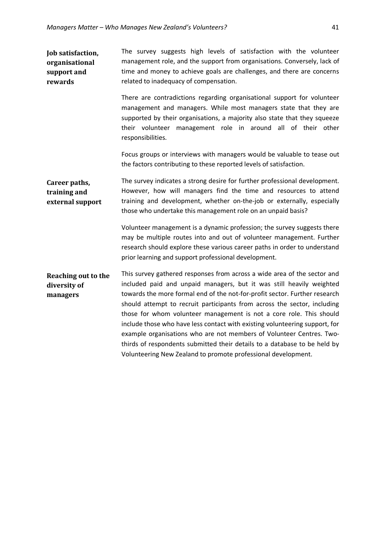**Job satisfaction, organisational support and rewards** The survey suggests high levels of satisfaction with the volunteer management role, and the support from organisations. Conversely, lack of time and money to achieve goals are challenges, and there are concerns related to inadequacy of compensation. There are contradictions regarding organisational support for volunteer management and managers. While most managers state that they are supported by their organisations, a majority also state that they squeeze their volunteer management role in around all of their other responsibilities. Focus groups or interviews with managers would be valuable to tease out the factors contributing to these reported levels of satisfaction. **Career paths, training and external support** The survey indicates a strong desire for further professional development. However, how will managers find the time and resources to attend training and development, whether on-the-job or externally, especially those who undertake this management role on an unpaid basis? Volunteer management is a dynamic profession; the survey suggests there may be multiple routes into and out of volunteer management. Further research should explore these various career paths in order to understand prior learning and support professional development. **Reaching out to the diversity of managers**  This survey gathered responses from across a wide area of the sector and included paid and unpaid managers, but it was still heavily weighted towards the more formal end of the not-for-profit sector. Further research should attempt to recruit participants from across the sector, including those for whom volunteer management is not a core role. This should include those who have less contact with existing volunteering support, for example organisations who are not members of Volunteer Centres. Twothirds of respondents submitted their details to a database to be held by Volunteering New Zealand to promote professional development.